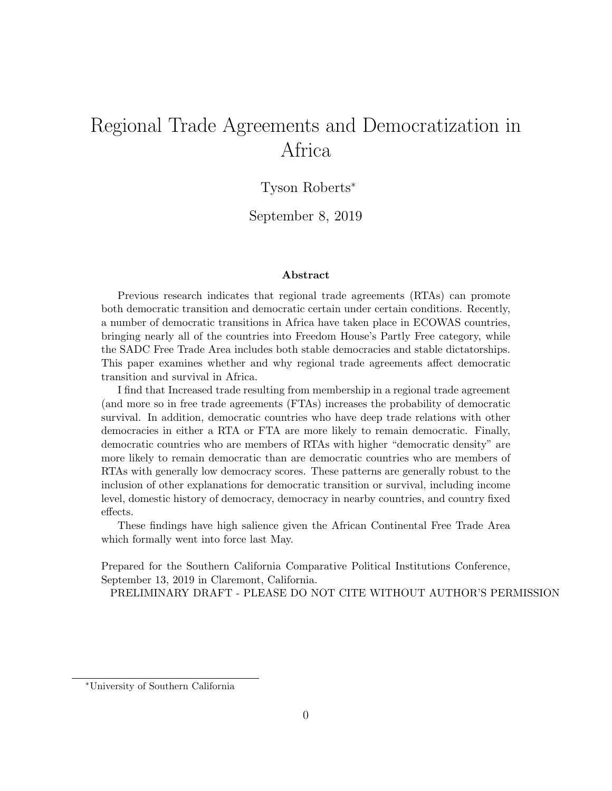# <span id="page-0-0"></span>Regional Trade Agreements and Democratization in Africa

## Tyson Roberts<sup>∗</sup>

September 8, 2019

#### Abstract

Previous research indicates that regional trade agreements (RTAs) can promote both democratic transition and democratic certain under certain conditions. Recently, a number of democratic transitions in Africa have taken place in ECOWAS countries, bringing nearly all of the countries into Freedom House's Partly Free category, while the SADC Free Trade Area includes both stable democracies and stable dictatorships. This paper examines whether and why regional trade agreements affect democratic transition and survival in Africa.

I find that Increased trade resulting from membership in a regional trade agreement (and more so in free trade agreements (FTAs) increases the probability of democratic survival. In addition, democratic countries who have deep trade relations with other democracies in either a RTA or FTA are more likely to remain democratic. Finally, democratic countries who are members of RTAs with higher "democratic density" are more likely to remain democratic than are democratic countries who are members of RTAs with generally low democracy scores. These patterns are generally robust to the inclusion of other explanations for democratic transition or survival, including income level, domestic history of democracy, democracy in nearby countries, and country fixed effects.

These findings have high salience given the African Continental Free Trade Area which formally went into force last May.

Prepared for the Southern California Comparative Political Institutions Conference, September 13, 2019 in Claremont, California.

PRELIMINARY DRAFT - PLEASE DO NOT CITE WITHOUT AUTHOR'S PERMISSION

<sup>∗</sup>University of Southern California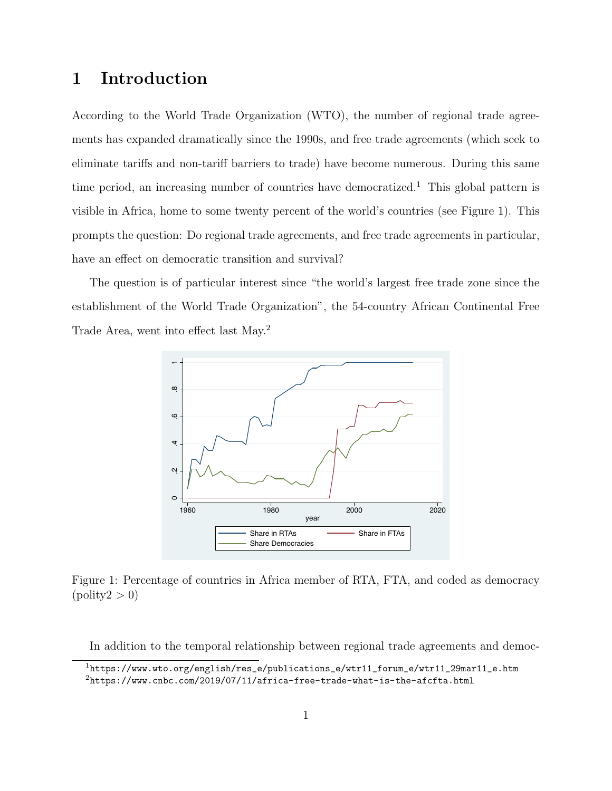# 1 Introduction

According to the World Trade Organization (WTO), the number of regional trade agreements has expanded dramatically since the 1990s, and free trade agreements (which seek to eliminate tariffs and non-tariff barriers to trade) have become numerous. During this same time period, an increasing number of countries have democratized.<sup>[1](#page-0-0)</sup> This global pattern is visible in Africa, home to some twenty percent of the world's countries (see Figure [1\)](#page-1-0). This prompts the question: Do regional trade agreements, and free trade agreements in particular, have an effect on democratic transition and survival?

The question is of particular interest since "the world's largest free trade zone since the establishment of the World Trade Organization", the 54-country African Continental Free Trade Area, went into effect last May.[2](#page-0-0)



<span id="page-1-0"></span>Figure 1: Percentage of countries in Africa member of RTA, FTA, and coded as democracy  $( \text{poly2} > 0 )$ 

In addition to the temporal relationship between regional trade agreements and democ-

<sup>1</sup>[https://www.wto.org/english/res\\_e/publications\\_e/wtr11\\_forum\\_e/wtr11\\_29mar11\\_e.htm](https://www.wto.org/english/res_e/publications_e/wtr11_forum_e/wtr11_29mar11_e.htm)  $2$ <https://www.cnbc.com/2019/07/11/africa-free-trade-what-is-the-afcfta.html>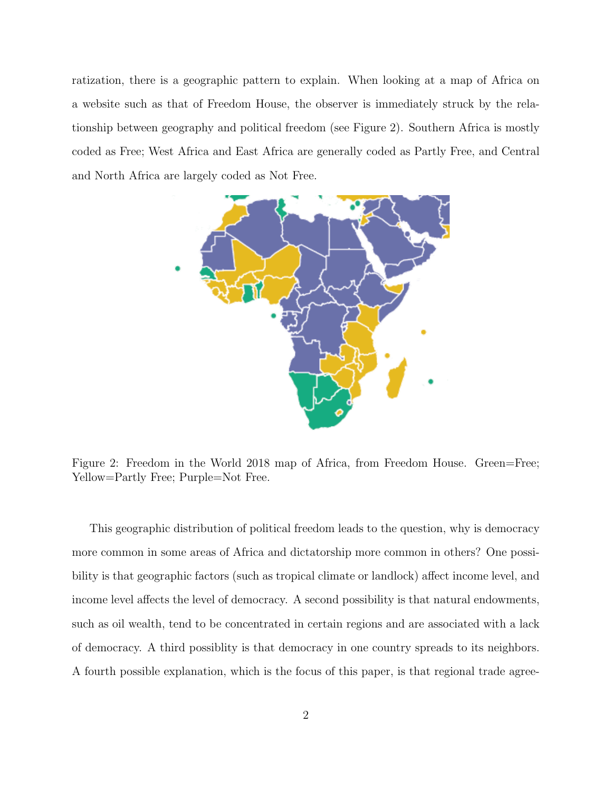ratization, there is a geographic pattern to explain. When looking at a map of Africa on a website such as that of Freedom House, the observer is immediately struck by the relationship between geography and political freedom (see Figure [2\)](#page-2-0). Southern Africa is mostly coded as Free; West Africa and East Africa are generally coded as Partly Free, and Central and North Africa are largely coded as Not Free.



<span id="page-2-0"></span>Figure 2: Freedom in the World 2018 map of Africa, from Freedom House. Green=Free; Yellow=Partly Free; Purple=Not Free.

This geographic distribution of political freedom leads to the question, why is democracy more common in some areas of Africa and dictatorship more common in others? One possibility is that geographic factors (such as tropical climate or landlock) affect income level, and income level affects the level of democracy. A second possibility is that natural endowments, such as oil wealth, tend to be concentrated in certain regions and are associated with a lack of democracy. A third possiblity is that democracy in one country spreads to its neighbors. A fourth possible explanation, which is the focus of this paper, is that regional trade agree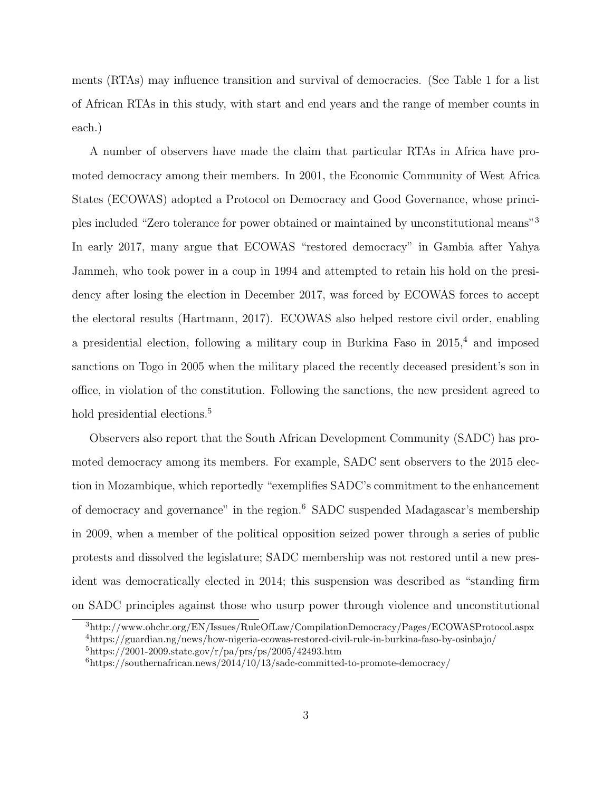ments (RTAs) may influence transition and survival of democracies. (See Table [1](#page-4-0) for a list of African RTAs in this study, with start and end years and the range of member counts in each.)

A number of observers have made the claim that particular RTAs in Africa have promoted democracy among their members. In 2001, the Economic Community of West Africa States (ECOWAS) adopted a Protocol on Democracy and Good Governance, whose principles included "Zero tolerance for power obtained or maintained by unconstitutional means"[3](#page-0-0) In early 2017, many argue that ECOWAS "restored democracy" in Gambia after Yahya Jammeh, who took power in a coup in 1994 and attempted to retain his hold on the presidency after losing the election in December 2017, was forced by ECOWAS forces to accept the electoral results [\(Hartmann, 2017\)](#page-33-0). ECOWAS also helped restore civil order, enabling a presidential election, following a military coup in Burkina Faso in 2015,[4](#page-0-0) and imposed sanctions on Togo in 2005 when the military placed the recently deceased president's son in office, in violation of the constitution. Following the sanctions, the new president agreed to hold presidential elections.<sup>[5](#page-0-0)</sup>

Observers also report that the South African Development Community (SADC) has promoted democracy among its members. For example, SADC sent observers to the 2015 election in Mozambique, which reportedly "exemplifies SADC's commitment to the enhancement of democracy and governance" in the region.[6](#page-0-0) SADC suspended Madagascar's membership in 2009, when a member of the political opposition seized power through a series of public protests and dissolved the legislature; SADC membership was not restored until a new president was democratically elected in 2014; this suspension was described as "standing firm on SADC principles against those who usurp power through violence and unconstitutional

<sup>3</sup>http://www.ohchr.org/EN/Issues/RuleOfLaw/CompilationDemocracy/Pages/ECOWASProtocol.aspx <sup>4</sup>https://guardian.ng/news/how-nigeria-ecowas-restored-civil-rule-in-burkina-faso-by-osinbajo/

 $5$ https://2001-2009.state.gov/r/pa/prs/ps/2005/42493.htm

 $6$ https://southernafrican.news/2014/10/13/sadc-committed-to-promote-democracy/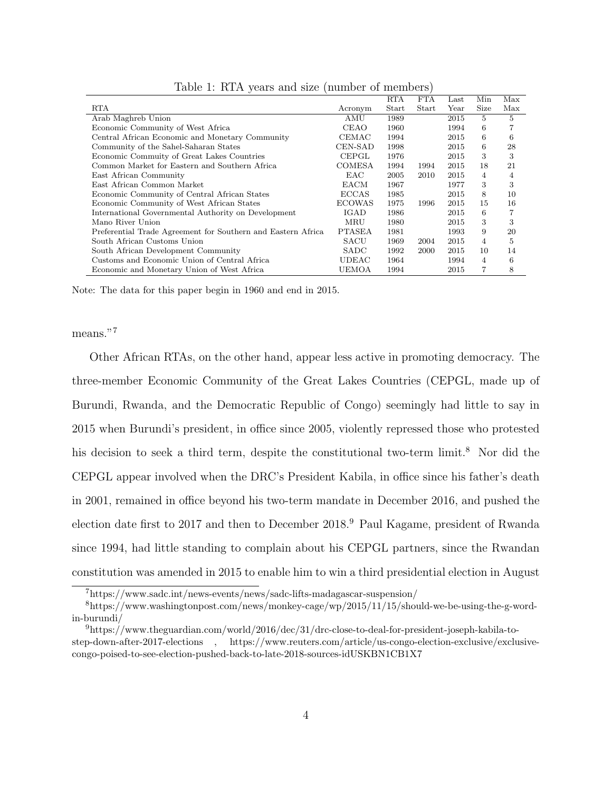|                                                              |               | <b>RTA</b> | <b>FTA</b> | Last | Min            | Max |
|--------------------------------------------------------------|---------------|------------|------------|------|----------------|-----|
| RTA                                                          | Acronym       | Start      | Start      | Year | Size           | Max |
| Arab Maghreb Union                                           | AMU           | 1989       |            | 2015 | 5.             | 5   |
| Economic Community of West Africa                            | <b>CEAO</b>   | 1960       |            | 1994 | 6              |     |
| Central African Economic and Monetary Community              | CEMAC         | 1994       |            | 2015 | 6              | 6   |
| Community of the Sahel-Saharan States                        | CEN-SAD       | 1998       |            | 2015 | 6              | 28  |
| Economic Commuity of Great Lakes Countries                   | CEPGL         | 1976       |            | 2015 | 3              | 3   |
| Common Market for Eastern and Southern Africa                | COMESA        | 1994       | 1994       | 2015 | 18             | 21  |
| East African Community                                       | EAC           | 2005       | 2010       | 2015 | $\overline{4}$ | 4   |
| East African Common Market                                   | EACM          | 1967       |            | 1977 | 3              | 3   |
| Economic Community of Central African States                 | <b>ECCAS</b>  | 1985       |            | 2015 | 8              | 10  |
| Economic Community of West African States                    | <b>ECOWAS</b> | 1975       | 1996       | 2015 | 15             | 16  |
| International Governmental Authority on Development          | IGAD          | 1986       |            | 2015 | 6              | 7   |
| Mano River Union                                             | MRU           | 1980       |            | 2015 | 3              | 3   |
| Preferential Trade Agreement for Southern and Eastern Africa | <b>PTASEA</b> | 1981       |            | 1993 | 9              | 20  |
| South African Customs Union                                  | SACU          | 1969       | 2004       | 2015 | 4              | 5   |
| South African Development Community                          | <b>SADC</b>   | 1992       | 2000       | 2015 | 10             | 14  |
| Customs and Economic Union of Central Africa                 | UDEAC         | 1964       |            | 1994 | 4              | 6   |
| Economic and Monetary Union of West Africa                   | UEMOA         | 1994       |            | 2015 |                | 8   |
|                                                              |               |            |            |      |                |     |

<span id="page-4-0"></span>Table 1: RTA years and size (number of members)

Note: The data for this paper begin in 1960 and end in 2015.

means."<sup>[7](#page-0-0)</sup>

Other African RTAs, on the other hand, appear less active in promoting democracy. The three-member Economic Community of the Great Lakes Countries (CEPGL, made up of Burundi, Rwanda, and the Democratic Republic of Congo) seemingly had little to say in 2015 when Burundi's president, in office since 2005, violently repressed those who protested his decision to seek a third term, despite the constitutional two-term limit.<sup>[8](#page-0-0)</sup> Nor did the CEPGL appear involved when the DRC's President Kabila, in office since his father's death in 2001, remained in office beyond his two-term mandate in December 2016, and pushed the election date first to 2017 and then to December 2018.[9](#page-0-0) Paul Kagame, president of Rwanda since 1994, had little standing to complain about his CEPGL partners, since the Rwandan constitution was amended in 2015 to enable him to win a third presidential election in August

<sup>7</sup>https://www.sadc.int/news-events/news/sadc-lifts-madagascar-suspension/

<sup>8</sup>https://www.washingtonpost.com/news/monkey-cage/wp/2015/11/15/should-we-be-using-the-g-wordin-burundi/

 $^{9}$ https://www.theguardian.com/world/2016/dec/31/drc-close-to-deal-for-president-joseph-kabila-tostep-down-after-2017-elections , https://www.reuters.com/article/us-congo-election-exclusive/exclusivecongo-poised-to-see-election-pushed-back-to-late-2018-sources-idUSKBN1CB1X7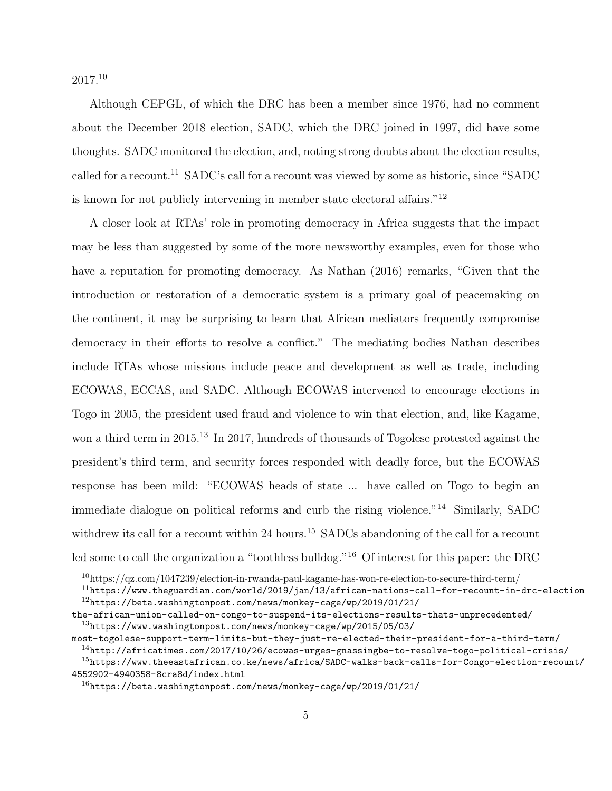2017.[10](#page-0-0)

Although CEPGL, of which the DRC has been a member since 1976, had no comment about the December 2018 election, SADC, which the DRC joined in 1997, did have some thoughts. SADC monitored the election, and, noting strong doubts about the election results, called for a recount.<sup>[11](#page-0-0)</sup> SADC's call for a recount was viewed by some as historic, since "SADC" is known for not publicly intervening in member state electoral affairs."[12](#page-0-0)

A closer look at RTAs' role in promoting democracy in Africa suggests that the impact may be less than suggested by some of the more newsworthy examples, even for those who have a reputation for promoting democracy. As [Nathan](#page-33-1) [\(2016\)](#page-33-1) remarks, "Given that the introduction or restoration of a democratic system is a primary goal of peacemaking on the continent, it may be surprising to learn that African mediators frequently compromise democracy in their efforts to resolve a conflict." The mediating bodies Nathan describes include RTAs whose missions include peace and development as well as trade, including ECOWAS, ECCAS, and SADC. Although ECOWAS intervened to encourage elections in Togo in 2005, the president used fraud and violence to win that election, and, like Kagame, won a third term in 2015.<sup>[13](#page-0-0)</sup> In 2017, hundreds of thousands of Togolese protested against the president's third term, and security forces responded with deadly force, but the ECOWAS response has been mild: "ECOWAS heads of state ... have called on Togo to begin an immediate dialogue on political reforms and curb the rising violence."[14](#page-0-0) Similarly, SADC withdrew its call for a recount within 24 hours.<sup>[15](#page-0-0)</sup> SADCs abandoning of the call for a recount led some to call the organization a "toothless bulldog."<sup>[16](#page-0-0)</sup> Of interest for this paper: the DRC

<sup>10</sup>https://qz.com/1047239/election-in-rwanda-paul-kagame-has-won-re-election-to-secure-third-term/

 $11$ <https://www.theguardian.com/world/2019/jan/13/african-nations-call-for-recount-in-drc-election> <sup>12</sup>[https://beta.washingtonpost.com/news/monkey-cage/wp/2019/01/21/](https://beta.washingtonpost.com/news/monkey-cage/wp/2019/01/21/the-african-union-called-on-congo-to-suspend-its-elections-results-thats-unprecedented/)

[the-african-union-called-on-congo-to-suspend-its-elections-results-thats-unprecedented/](https://beta.washingtonpost.com/news/monkey-cage/wp/2019/01/21/the-african-union-called-on-congo-to-suspend-its-elections-results-thats-unprecedented/)  $^{13}$ [https://www.washingtonpost.com/news/monkey-cage/wp/2015/05/03/](https://www.washingtonpost.com/news/monkey-cage/wp/2015/05/03/most-togolese-support-term-limits-but-they-just-re-elected-their-president-for-a-third-term/)

[most-togolese-support-term-limits-but-they-just-re-elected-their-president-for-a-third-term/](https://www.washingtonpost.com/news/monkey-cage/wp/2015/05/03/most-togolese-support-term-limits-but-they-just-re-elected-their-president-for-a-third-term/)

 $^{14}$ <http://africatimes.com/2017/10/26/ecowas-urges-gnassingbe-to-resolve-togo-political-crisis/>

 $15$ [https://www.theeastafrican.co.ke/news/africa/SADC-walks-back-calls-for-Congo-election-](https://www.theeastafrican.co.ke/news/africa/SADC-walks-back-calls-for-Congo-election-recount/4552902-4940358-8cra8d/index.html)recount/ [4552902-4940358-8cra8d/index.html](https://www.theeastafrican.co.ke/news/africa/SADC-walks-back-calls-for-Congo-election-recount/4552902-4940358-8cra8d/index.html)

 $16$ [https://beta.washingtonpost.com/news/monkey-cage/wp/2019/01/21/](https://beta.washingtonpost.com/news/monkey-cage/wp/2019/01/21/the-african-union-called-on-congo-to-suspend-its-elections-results-thats-unprecedented/)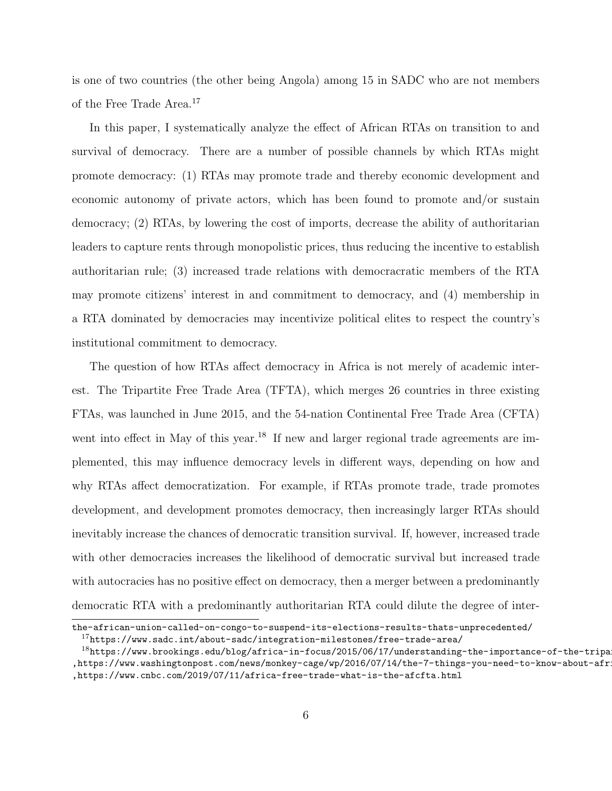[is one of two countries \(the other being Angola\) among 15 in SADC who are not members](https://beta.washingtonpost.com/news/monkey-cage/wp/2019/01/21/the-african-union-called-on-congo-to-suspend-its-elections-results-thats-unprecedented/) [of the Free Trade Area.](https://beta.washingtonpost.com/news/monkey-cage/wp/2019/01/21/the-african-union-called-on-congo-to-suspend-its-elections-results-thats-unprecedented/)<sup>[17](#page-0-0)</sup>

[In this paper, I systematically analyze the effect of African RTAs on transition to and](https://beta.washingtonpost.com/news/monkey-cage/wp/2019/01/21/the-african-union-called-on-congo-to-suspend-its-elections-results-thats-unprecedented/) [survival of democracy. There are a number of possible channels by which RTAs might](https://beta.washingtonpost.com/news/monkey-cage/wp/2019/01/21/the-african-union-called-on-congo-to-suspend-its-elections-results-thats-unprecedented/) [promote democracy: \(1\) RTAs may promote trade and thereby economic development and](https://beta.washingtonpost.com/news/monkey-cage/wp/2019/01/21/the-african-union-called-on-congo-to-suspend-its-elections-results-thats-unprecedented/) [economic autonomy of private actors, which has been found to promote and/or sustain](https://beta.washingtonpost.com/news/monkey-cage/wp/2019/01/21/the-african-union-called-on-congo-to-suspend-its-elections-results-thats-unprecedented/) [democracy; \(2\) RTAs, by lowering the cost of imports, decrease the ability of authoritarian](https://beta.washingtonpost.com/news/monkey-cage/wp/2019/01/21/the-african-union-called-on-congo-to-suspend-its-elections-results-thats-unprecedented/) [leaders to capture rents through monopolistic prices, thus reducing the incentive to establish](https://beta.washingtonpost.com/news/monkey-cage/wp/2019/01/21/the-african-union-called-on-congo-to-suspend-its-elections-results-thats-unprecedented/) [authoritarian rule; \(3\) increased trade relations with democracratic members of the RTA](https://beta.washingtonpost.com/news/monkey-cage/wp/2019/01/21/the-african-union-called-on-congo-to-suspend-its-elections-results-thats-unprecedented/) [may promote citizens' interest in and commitment to democracy, and \(4\) membership in](https://beta.washingtonpost.com/news/monkey-cage/wp/2019/01/21/the-african-union-called-on-congo-to-suspend-its-elections-results-thats-unprecedented/) [a RTA dominated by democracies may incentivize political elites to respect the country's](https://beta.washingtonpost.com/news/monkey-cage/wp/2019/01/21/the-african-union-called-on-congo-to-suspend-its-elections-results-thats-unprecedented/) [institutional commitment to democracy.](https://beta.washingtonpost.com/news/monkey-cage/wp/2019/01/21/the-african-union-called-on-congo-to-suspend-its-elections-results-thats-unprecedented/)

[The question of how RTAs affect democracy in Africa is not merely of academic inter](https://beta.washingtonpost.com/news/monkey-cage/wp/2019/01/21/the-african-union-called-on-congo-to-suspend-its-elections-results-thats-unprecedented/)[est. The Tripartite Free Trade Area \(TFTA\), which merges 26 countries in three existing](https://beta.washingtonpost.com/news/monkey-cage/wp/2019/01/21/the-african-union-called-on-congo-to-suspend-its-elections-results-thats-unprecedented/) [FTAs, was launched in June 2015, and the 54-nation Continental Free Trade Area \(CFTA\)](https://beta.washingtonpost.com/news/monkey-cage/wp/2019/01/21/the-african-union-called-on-congo-to-suspend-its-elections-results-thats-unprecedented/) went into effect in May of this year.<sup>[18](#page-0-0)</sup> [If new and larger regional trade agreements are im](https://beta.washingtonpost.com/news/monkey-cage/wp/2019/01/21/the-african-union-called-on-congo-to-suspend-its-elections-results-thats-unprecedented/)[plemented, this may influence democracy levels in different ways, depending on how and](https://beta.washingtonpost.com/news/monkey-cage/wp/2019/01/21/the-african-union-called-on-congo-to-suspend-its-elections-results-thats-unprecedented/) [why RTAs affect democratization. For example, if RTAs promote trade, trade promotes](https://beta.washingtonpost.com/news/monkey-cage/wp/2019/01/21/the-african-union-called-on-congo-to-suspend-its-elections-results-thats-unprecedented/) [development, and development promotes democracy, then increasingly larger RTAs should](https://beta.washingtonpost.com/news/monkey-cage/wp/2019/01/21/the-african-union-called-on-congo-to-suspend-its-elections-results-thats-unprecedented/) [inevitably increase the chances of democratic transition survival. If, however, increased trade](https://beta.washingtonpost.com/news/monkey-cage/wp/2019/01/21/the-african-union-called-on-congo-to-suspend-its-elections-results-thats-unprecedented/) [with other democracies increases the likelihood of democratic survival but increased trade](https://beta.washingtonpost.com/news/monkey-cage/wp/2019/01/21/the-african-union-called-on-congo-to-suspend-its-elections-results-thats-unprecedented/) [with autocracies has no positive effect on democracy, then a merger between a predominantly](https://beta.washingtonpost.com/news/monkey-cage/wp/2019/01/21/the-african-union-called-on-congo-to-suspend-its-elections-results-thats-unprecedented/) [democratic RTA with a predominantly authoritarian RTA could dilute the degree of inter-](https://beta.washingtonpost.com/news/monkey-cage/wp/2019/01/21/the-african-union-called-on-congo-to-suspend-its-elections-results-thats-unprecedented/)

[the-african-union-called-on-congo-to-suspend-its-elections-results-thats-unprecedented/](https://beta.washingtonpost.com/news/monkey-cage/wp/2019/01/21/the-african-union-called-on-congo-to-suspend-its-elections-results-thats-unprecedented/) <sup>17</sup><https://www.sadc.int/about-sadc/integration-milestones/free-trade-area/>

 $^{18}$ [https://www.brookings.edu/blog/africa-in-focus/2015/06/17/understanding-the-importance](https://www.brookings.edu/blog/africa-in-focus/2015/06/17/understanding-the-importance-of-the-tripartite-free-trade-area/, https://www.washingtonpost.com/news/monkey-cage/wp/2016/07/14/the-7-things-you-need-to-know-about-africas-continental-free-trade-area/, https://www.cnbc.com/2019/07/11/africa-free-trade-what-is-the-afcfta.html)-of-the-tripa [,https://www.washingtonpost.com/news/monkey-cage/wp/2016/07/14/the-7-things-you-need-to-k](https://www.brookings.edu/blog/africa-in-focus/2015/06/17/understanding-the-importance-of-the-tripartite-free-trade-area/, https://www.washingtonpost.com/news/monkey-cage/wp/2016/07/14/the-7-things-you-need-to-know-about-africas-continental-free-trade-area/, https://www.cnbc.com/2019/07/11/africa-free-trade-what-is-the-afcfta.html)now-about-africas-continental-free-trade-area/ [,https://www.cnbc.com/2019/07/11/africa-free-trade-what-is-the-afcfta.html](https://www.brookings.edu/blog/africa-in-focus/2015/06/17/understanding-the-importance-of-the-tripartite-free-trade-area/, https://www.washingtonpost.com/news/monkey-cage/wp/2016/07/14/the-7-things-you-need-to-know-about-africas-continental-free-trade-area/, https://www.cnbc.com/2019/07/11/africa-free-trade-what-is-the-afcfta.html)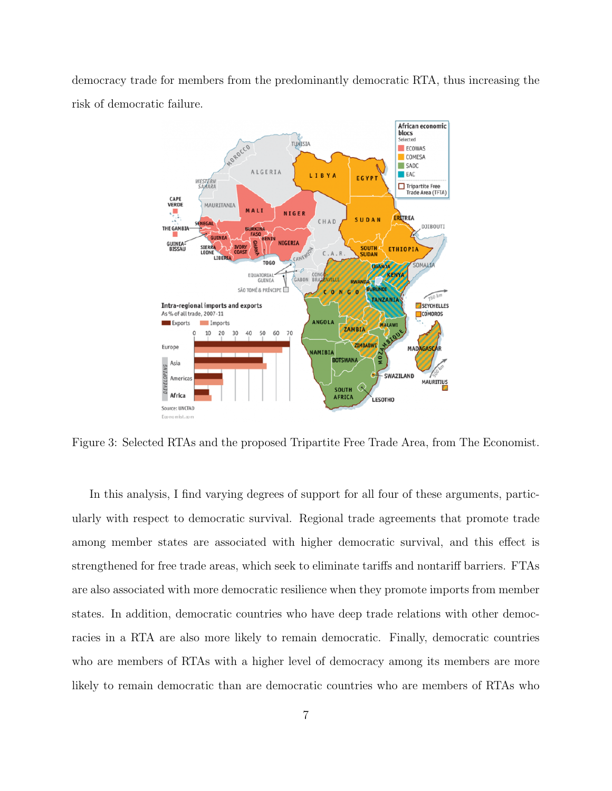democracy trade for members from the predominantly democratic RTA, thus increasing the risk of democratic failure.



Figure 3: Selected RTAs and the proposed Tripartite Free Trade Area, from The Economist.

In this analysis, I find varying degrees of support for all four of these arguments, particularly with respect to democratic survival. Regional trade agreements that promote trade among member states are associated with higher democratic survival, and this effect is strengthened for free trade areas, which seek to eliminate tariffs and nontariff barriers. FTAs are also associated with more democratic resilience when they promote imports from member states. In addition, democratic countries who have deep trade relations with other democracies in a RTA are also more likely to remain democratic. Finally, democratic countries who are members of RTAs with a higher level of democracy among its members are more likely to remain democratic than are democratic countries who are members of RTAs who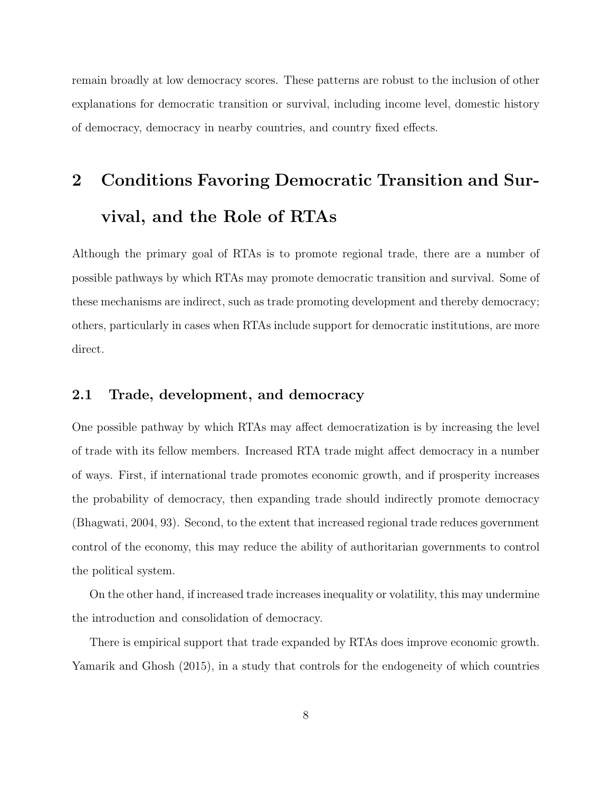remain broadly at low democracy scores. These patterns are robust to the inclusion of other explanations for democratic transition or survival, including income level, domestic history of democracy, democracy in nearby countries, and country fixed effects.

# 2 Conditions Favoring Democratic Transition and Survival, and the Role of RTAs

Although the primary goal of RTAs is to promote regional trade, there are a number of possible pathways by which RTAs may promote democratic transition and survival. Some of these mechanisms are indirect, such as trade promoting development and thereby democracy; others, particularly in cases when RTAs include support for democratic institutions, are more direct.

#### 2.1 Trade, development, and democracy

One possible pathway by which RTAs may affect democratization is by increasing the level of trade with its fellow members. Increased RTA trade might affect democracy in a number of ways. First, if international trade promotes economic growth, and if prosperity increases the probability of democracy, then expanding trade should indirectly promote democracy [\(Bhagwati, 2004,](#page-32-0) 93). Second, to the extent that increased regional trade reduces government control of the economy, this may reduce the ability of authoritarian governments to control the political system.

On the other hand, if increased trade increases inequality or volatility, this may undermine the introduction and consolidation of democracy.

There is empirical support that trade expanded by RTAs does improve economic growth. [Yamarik and Ghosh](#page-34-0) [\(2015\)](#page-34-0), in a study that controls for the endogeneity of which countries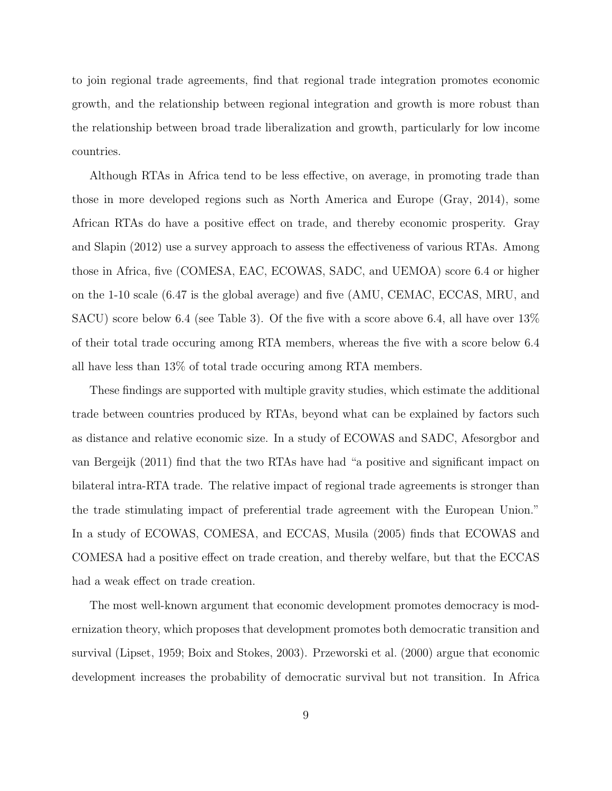to join regional trade agreements, find that regional trade integration promotes economic growth, and the relationship between regional integration and growth is more robust than the relationship between broad trade liberalization and growth, particularly for low income countries.

Although RTAs in Africa tend to be less effective, on average, in promoting trade than those in more developed regions such as North America and Europe [\(Gray, 2014\)](#page-33-2), some African RTAs do have a positive effect on trade, and thereby economic prosperity. [Gray](#page-33-3) [and Slapin](#page-33-3) [\(2012\)](#page-33-3) use a survey approach to assess the effectiveness of various RTAs. Among those in Africa, five (COMESA, EAC, ECOWAS, SADC, and UEMOA) score 6.4 or higher on the 1-10 scale (6.47 is the global average) and five (AMU, CEMAC, ECCAS, MRU, and SACU) score below 6.4 (see Table [3\)](#page-11-0). Of the five with a score above 6.4, all have over 13% of their total trade occuring among RTA members, whereas the five with a score below 6.4 all have less than 13% of total trade occuring among RTA members.

These findings are supported with multiple gravity studies, which estimate the additional trade between countries produced by RTAs, beyond what can be explained by factors such as distance and relative economic size. In a study of ECOWAS and SADC, [Afesorgbor and](#page-32-1) [van Bergeijk](#page-32-1) [\(2011\)](#page-32-1) find that the two RTAs have had "a positive and significant impact on bilateral intra-RTA trade. The relative impact of regional trade agreements is stronger than the trade stimulating impact of preferential trade agreement with the European Union." In a study of ECOWAS, COMESA, and ECCAS, [Musila](#page-33-4) [\(2005\)](#page-33-4) finds that ECOWAS and COMESA had a positive effect on trade creation, and thereby welfare, but that the ECCAS had a weak effect on trade creation.

The most well-known argument that economic development promotes democracy is modernization theory, which proposes that development promotes both democratic transition and survival [\(Lipset, 1959;](#page-33-5) [Boix and Stokes, 2003\)](#page-32-2). [Przeworski et al.](#page-34-1) [\(2000\)](#page-34-1) argue that economic development increases the probability of democratic survival but not transition. In Africa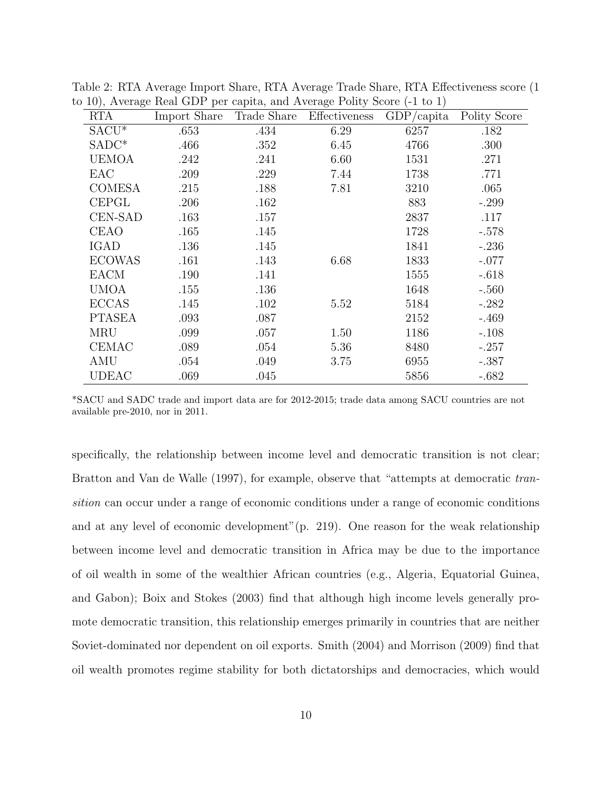|                | 10), Trongo Roal ODI por capita, and Trongo I only boold |             |               | $\sqrt{2}$    |              |
|----------------|----------------------------------------------------------|-------------|---------------|---------------|--------------|
| <b>RTA</b>     | Import Share                                             | Trade Share | Effectiveness | $GDP/c$ apita | Polity Score |
| $SACU^*$       | .653                                                     | .434        | 6.29          | 6257          | .182         |
| $SADC*$        | .466                                                     | .352        | 6.45          | 4766          | .300         |
| <b>UEMOA</b>   | .242                                                     | .241        | 6.60          | 1531          | .271         |
| EAC            | .209                                                     | .229        | 7.44          | 1738          | .771         |
| <b>COMESA</b>  | .215                                                     | .188        | 7.81          | 3210          | .065         |
| <b>CEPGL</b>   | .206                                                     | .162        |               | 883           | $-.299$      |
| <b>CEN-SAD</b> | .163                                                     | .157        |               | 2837          | .117         |
| <b>CEAO</b>    | .165                                                     | .145        |               | 1728          | $-.578$      |
| IGAD           | .136                                                     | .145        |               | 1841          | $-.236$      |
| <b>ECOWAS</b>  | .161                                                     | .143        | 6.68          | 1833          | $-.077$      |
| <b>EACM</b>    | .190                                                     | .141        |               | 1555          | $-.618$      |
| <b>UMOA</b>    | .155                                                     | .136        |               | 1648          | $-.560$      |
| <b>ECCAS</b>   | .145                                                     | .102        | 5.52          | 5184          | $-.282$      |
| <b>PTASEA</b>  | .093                                                     | .087        |               | 2152          | $-.469$      |
| <b>MRU</b>     | .099                                                     | .057        | 1.50          | 1186          | $-.108$      |
| <b>CEMAC</b>   | .089                                                     | .054        | 5.36          | 8480          | $-.257$      |
| AMU            | .054                                                     | .049        | 3.75          | 6955          | $-.387$      |
| UDEAC          | .069                                                     | .045        |               | 5856          | $-.682$      |

Table 2: RTA Average Import Share, RTA Average Trade Share, RTA Effectiveness score (1 to 10), Average Real GDP per capita, and Average Polity Score (-1 to 1)

\*SACU and SADC trade and import data are for 2012-2015; trade data among SACU countries are not available pre-2010, nor in 2011.

specifically, the relationship between income level and democratic transition is not clear; [Bratton and Van de Walle](#page-32-3) [\(1997\)](#page-32-3), for example, observe that "attempts at democratic transition can occur under a range of economic conditions under a range of economic conditions and at any level of economic development"(p. 219). One reason for the weak relationship between income level and democratic transition in Africa may be due to the importance of oil wealth in some of the wealthier African countries (e.g., Algeria, Equatorial Guinea, and Gabon); [Boix and Stokes](#page-32-2) [\(2003\)](#page-32-2) find that although high income levels generally promote democratic transition, this relationship emerges primarily in countries that are neither Soviet-dominated nor dependent on oil exports. [Smith](#page-34-2) [\(2004\)](#page-34-2) and [Morrison](#page-33-6) [\(2009\)](#page-33-6) find that oil wealth promotes regime stability for both dictatorships and democracies, which would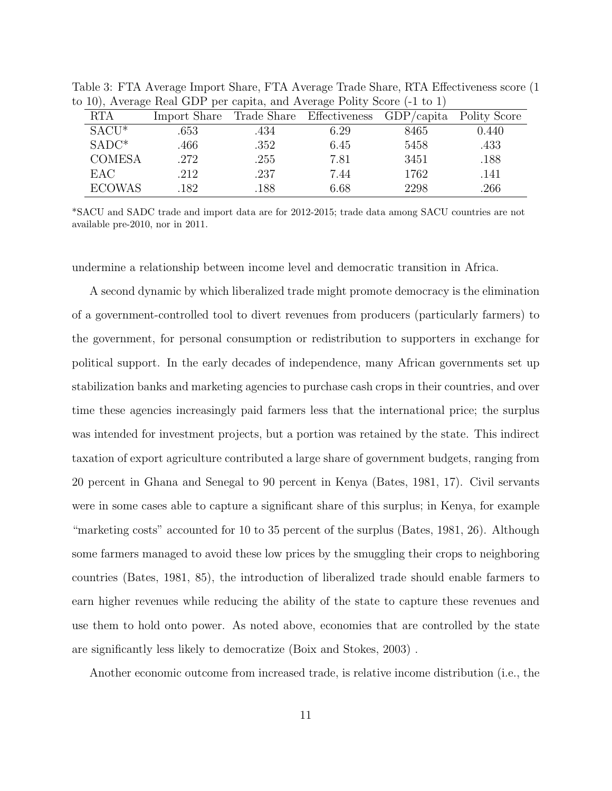| Import Share Trade Share Effectiveness GDP/capita Polity Score<br><b>RTA</b><br>$SACU^*$<br>$0.440\,$<br>.434<br>8465<br>.653<br>6.29<br>$SADC*$<br>.466<br>5458<br>.352<br>.433<br>6.45<br><b>COMESA</b><br>.272<br>.255<br>3451<br>.188<br>7.81<br><b>EAC</b><br>.237<br>1762<br>.212<br>.141<br>7.44<br><b>ECOWAS</b><br>2298<br>6.68<br>.266<br>182<br>.188 | ◡ |  |  |  |
|-----------------------------------------------------------------------------------------------------------------------------------------------------------------------------------------------------------------------------------------------------------------------------------------------------------------------------------------------------------------|---|--|--|--|
|                                                                                                                                                                                                                                                                                                                                                                 |   |  |  |  |
|                                                                                                                                                                                                                                                                                                                                                                 |   |  |  |  |
|                                                                                                                                                                                                                                                                                                                                                                 |   |  |  |  |
|                                                                                                                                                                                                                                                                                                                                                                 |   |  |  |  |
|                                                                                                                                                                                                                                                                                                                                                                 |   |  |  |  |
|                                                                                                                                                                                                                                                                                                                                                                 |   |  |  |  |

<span id="page-11-0"></span>Table 3: FTA Average Import Share, FTA Average Trade Share, RTA Effectiveness score (1 to 10), Average Real GDP per capita, and Average Polity Score (-1 to 1)

\*SACU and SADC trade and import data are for 2012-2015; trade data among SACU countries are not available pre-2010, nor in 2011.

undermine a relationship between income level and democratic transition in Africa.

A second dynamic by which liberalized trade might promote democracy is the elimination of a government-controlled tool to divert revenues from producers (particularly farmers) to the government, for personal consumption or redistribution to supporters in exchange for political support. In the early decades of independence, many African governments set up stabilization banks and marketing agencies to purchase cash crops in their countries, and over time these agencies increasingly paid farmers less that the international price; the surplus was intended for investment projects, but a portion was retained by the state. This indirect taxation of export agriculture contributed a large share of government budgets, ranging from 20 percent in Ghana and Senegal to 90 percent in Kenya [\(Bates, 1981,](#page-32-4) 17). Civil servants were in some cases able to capture a significant share of this surplus; in Kenya, for example "marketing costs" accounted for 10 to 35 percent of the surplus [\(Bates, 1981,](#page-32-4) 26). Although some farmers managed to avoid these low prices by the smuggling their crops to neighboring countries [\(Bates, 1981,](#page-32-4) 85), the introduction of liberalized trade should enable farmers to earn higher revenues while reducing the ability of the state to capture these revenues and use them to hold onto power. As noted above, economies that are controlled by the state are significantly less likely to democratize [\(Boix and Stokes, 2003\)](#page-32-2) .

Another economic outcome from increased trade, is relative income distribution (i.e., the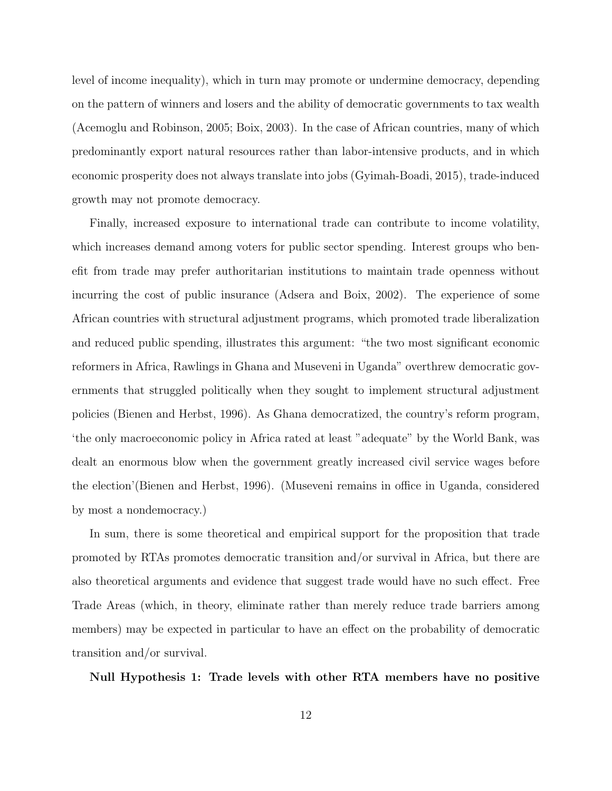level of income inequality), which in turn may promote or undermine democracy, depending on the pattern of winners and losers and the ability of democratic governments to tax wealth [\(Acemoglu and Robinson, 2005;](#page-32-5) [Boix, 2003\)](#page-32-6). In the case of African countries, many of which predominantly export natural resources rather than labor-intensive products, and in which economic prosperity does not always translate into jobs [\(Gyimah-Boadi, 2015\)](#page-33-7), trade-induced growth may not promote democracy.

Finally, increased exposure to international trade can contribute to income volatility, which increases demand among voters for public sector spending. Interest groups who benefit from trade may prefer authoritarian institutions to maintain trade openness without incurring the cost of public insurance [\(Adsera and Boix, 2002\)](#page-32-7). The experience of some African countries with structural adjustment programs, which promoted trade liberalization and reduced public spending, illustrates this argument: "the two most significant economic reformers in Africa, Rawlings in Ghana and Museveni in Uganda" overthrew democratic governments that struggled politically when they sought to implement structural adjustment policies [\(Bienen and Herbst, 1996\)](#page-32-8). As Ghana democratized, the country's reform program, 'the only macroeconomic policy in Africa rated at least "adequate" by the World Bank, was dealt an enormous blow when the government greatly increased civil service wages before the election'[\(Bienen and Herbst, 1996\)](#page-32-8). (Museveni remains in office in Uganda, considered by most a nondemocracy.)

In sum, there is some theoretical and empirical support for the proposition that trade promoted by RTAs promotes democratic transition and/or survival in Africa, but there are also theoretical arguments and evidence that suggest trade would have no such effect. Free Trade Areas (which, in theory, eliminate rather than merely reduce trade barriers among members) may be expected in particular to have an effect on the probability of democratic transition and/or survival.

#### Null Hypothesis 1: Trade levels with other RTA members have no positive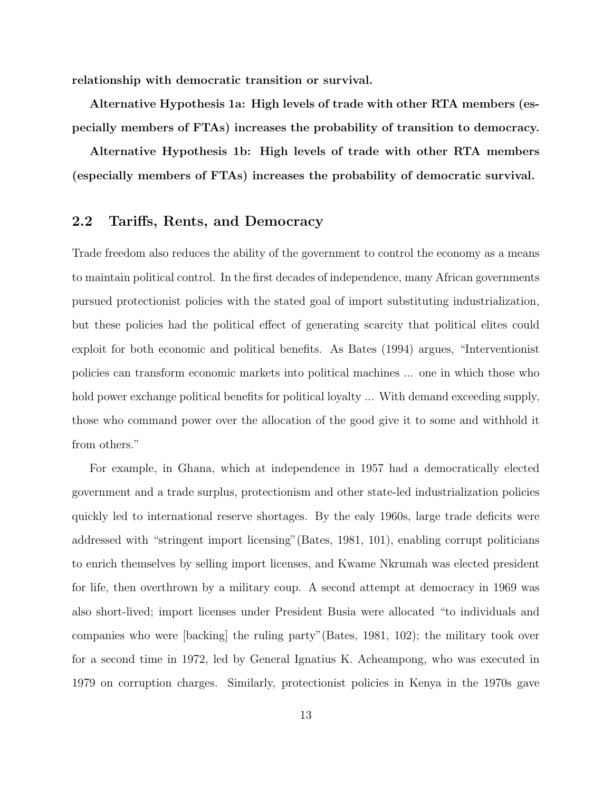relationship with democratic transition or survival.

Alternative Hypothesis 1a: High levels of trade with other RTA members (especially members of FTAs) increases the probability of transition to democracy.

Alternative Hypothesis 1b: High levels of trade with other RTA members (especially members of FTAs) increases the probability of democratic survival.

## 2.2 Tariffs, Rents, and Democracy

Trade freedom also reduces the ability of the government to control the economy as a means to maintain political control. In the first decades of independence, many African governments pursued protectionist policies with the stated goal of import substituting industrialization, but these policies had the political effect of generating scarcity that political elites could exploit for both economic and political benefits. As [Bates](#page-32-9) [\(1994\)](#page-32-9) argues, "Interventionist policies can transform economic markets into political machines ... one in which those who hold power exchange political benefits for political loyalty ... With demand exceeding supply, those who command power over the allocation of the good give it to some and withhold it from others."

For example, in Ghana, which at independence in 1957 had a democratically elected government and a trade surplus, protectionism and other state-led industrialization policies quickly led to international reserve shortages. By the ealy 1960s, large trade deficits were addressed with "stringent import licensing"[\(Bates, 1981,](#page-32-4) 101), enabling corrupt politicians to enrich themselves by selling import licenses, and Kwame Nkrumah was elected president for life, then overthrown by a military coup. A second attempt at democracy in 1969 was also short-lived; import licenses under President Busia were allocated "to individuals and companies who were [backing] the ruling party"[\(Bates, 1981,](#page-32-4) 102); the military took over for a second time in 1972, led by General Ignatius K. Acheampong, who was executed in 1979 on corruption charges. Similarly, protectionist policies in Kenya in the 1970s gave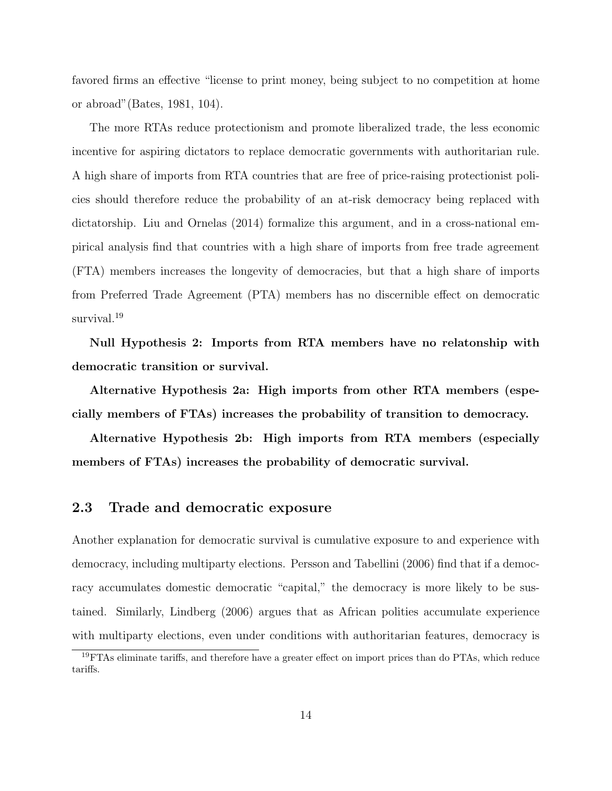favored firms an effective "license to print money, being subject to no competition at home or abroad"[\(Bates, 1981,](#page-32-4) 104).

The more RTAs reduce protectionism and promote liberalized trade, the less economic incentive for aspiring dictators to replace democratic governments with authoritarian rule. A high share of imports from RTA countries that are free of price-raising protectionist policies should therefore reduce the probability of an at-risk democracy being replaced with dictatorship. [Liu and Ornelas](#page-33-8) [\(2014\)](#page-33-8) formalize this argument, and in a cross-national empirical analysis find that countries with a high share of imports from free trade agreement (FTA) members increases the longevity of democracies, but that a high share of imports from Preferred Trade Agreement (PTA) members has no discernible effect on democratic survival.<sup>[19](#page-0-0)</sup>

Null Hypothesis 2: Imports from RTA members have no relatonship with democratic transition or survival.

Alternative Hypothesis 2a: High imports from other RTA members (especially members of FTAs) increases the probability of transition to democracy.

Alternative Hypothesis 2b: High imports from RTA members (especially members of FTAs) increases the probability of democratic survival.

#### 2.3 Trade and democratic exposure

Another explanation for democratic survival is cumulative exposure to and experience with democracy, including multiparty elections. [Persson and Tabellini](#page-33-9) [\(2006\)](#page-33-9) find that if a democracy accumulates domestic democratic "capital," the democracy is more likely to be sustained. Similarly, [Lindberg](#page-33-10) [\(2006\)](#page-33-10) argues that as African polities accumulate experience with multiparty elections, even under conditions with authoritarian features, democracy is

<sup>&</sup>lt;sup>19</sup> FTAs eliminate tariffs, and therefore have a greater effect on import prices than do PTAs, which reduce tariffs.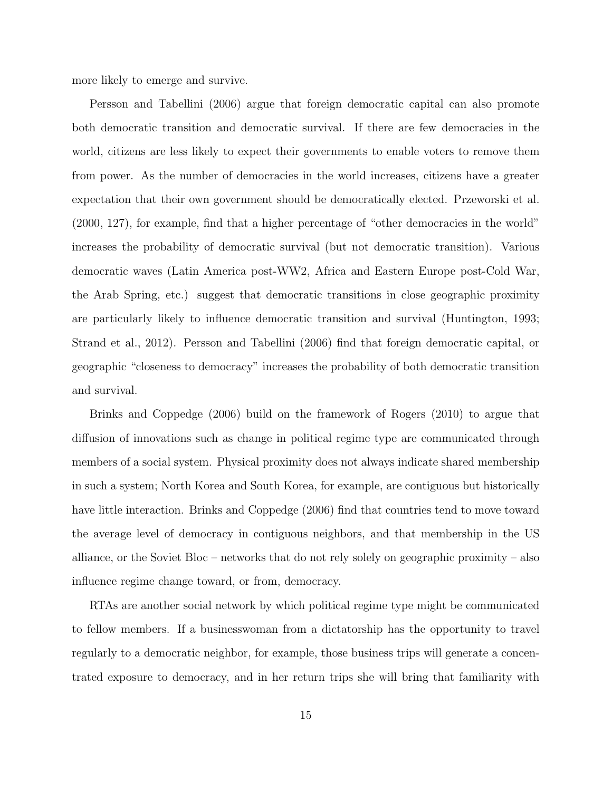more likely to emerge and survive.

[Persson and Tabellini](#page-33-9) [\(2006\)](#page-33-9) argue that foreign democratic capital can also promote both democratic transition and democratic survival. If there are few democracies in the world, citizens are less likely to expect their governments to enable voters to remove them from power. As the number of democracies in the world increases, citizens have a greater expectation that their own government should be democratically elected. [Przeworski et al.](#page-34-1) [\(2000,](#page-34-1) 127), for example, find that a higher percentage of "other democracies in the world" increases the probability of democratic survival (but not democratic transition). Various democratic waves (Latin America post-WW2, Africa and Eastern Europe post-Cold War, the Arab Spring, etc.) suggest that democratic transitions in close geographic proximity are particularly likely to influence democratic transition and survival [\(Huntington, 1993;](#page-33-11) [Strand et al., 2012\)](#page-34-3). [Persson and Tabellini](#page-33-9) [\(2006\)](#page-33-9) find that foreign democratic capital, or geographic "closeness to democracy" increases the probability of both democratic transition and survival.

[Brinks and Coppedge](#page-32-10) [\(2006\)](#page-32-10) build on the framework of [Rogers](#page-34-4) [\(2010\)](#page-34-4) to argue that diffusion of innovations such as change in political regime type are communicated through members of a social system. Physical proximity does not always indicate shared membership in such a system; North Korea and South Korea, for example, are contiguous but historically have little interaction. [Brinks and Coppedge](#page-32-10) [\(2006\)](#page-32-10) find that countries tend to move toward the average level of democracy in contiguous neighbors, and that membership in the US alliance, or the Soviet Bloc – networks that do not rely solely on geographic proximity – also influence regime change toward, or from, democracy.

RTAs are another social network by which political regime type might be communicated to fellow members. If a businesswoman from a dictatorship has the opportunity to travel regularly to a democratic neighbor, for example, those business trips will generate a concentrated exposure to democracy, and in her return trips she will bring that familiarity with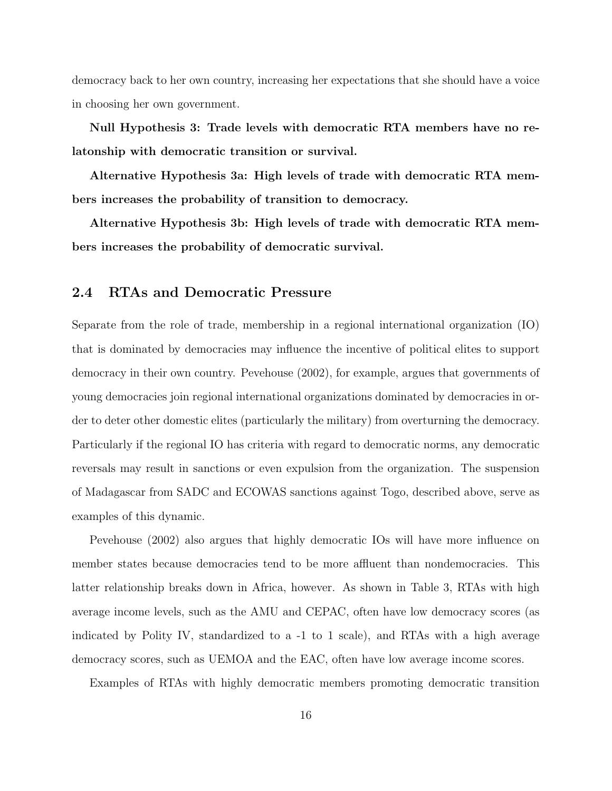democracy back to her own country, increasing her expectations that she should have a voice in choosing her own government.

Null Hypothesis 3: Trade levels with democratic RTA members have no relatonship with democratic transition or survival.

Alternative Hypothesis 3a: High levels of trade with democratic RTA members increases the probability of transition to democracy.

Alternative Hypothesis 3b: High levels of trade with democratic RTA members increases the probability of democratic survival.

#### 2.4 RTAs and Democratic Pressure

Separate from the role of trade, membership in a regional international organization (IO) that is dominated by democracies may influence the incentive of political elites to support democracy in their own country. [Pevehouse](#page-34-5) [\(2002\)](#page-34-5), for example, argues that governments of young democracies join regional international organizations dominated by democracies in order to deter other domestic elites (particularly the military) from overturning the democracy. Particularly if the regional IO has criteria with regard to democratic norms, any democratic reversals may result in sanctions or even expulsion from the organization. The suspension of Madagascar from SADC and ECOWAS sanctions against Togo, described above, serve as examples of this dynamic.

[Pevehouse](#page-34-5) [\(2002\)](#page-34-5) also argues that highly democratic IOs will have more influence on member states because democracies tend to be more affluent than nondemocracies. This latter relationship breaks down in Africa, however. As shown in Table [3,](#page-11-0) RTAs with high average income levels, such as the AMU and CEPAC, often have low democracy scores (as indicated by Polity IV, standardized to a -1 to 1 scale), and RTAs with a high average democracy scores, such as UEMOA and the EAC, often have low average income scores.

Examples of RTAs with highly democratic members promoting democratic transition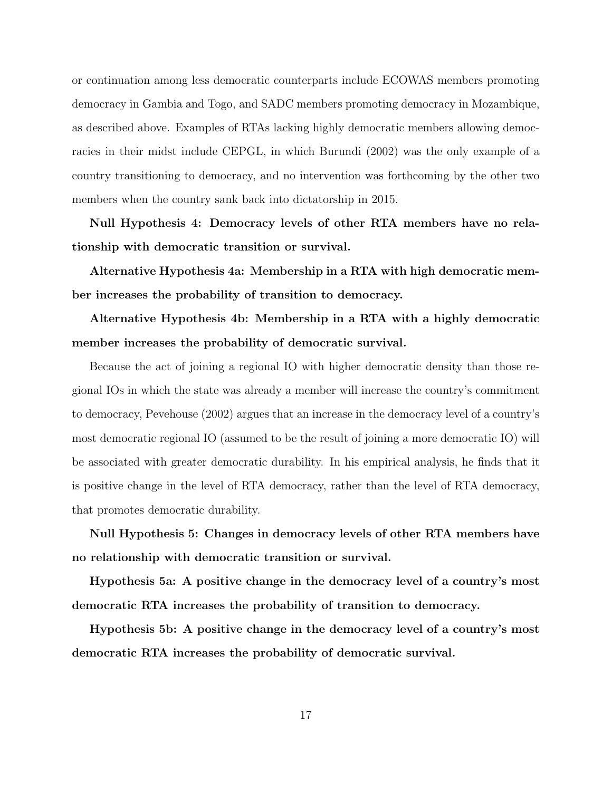or continuation among less democratic counterparts include ECOWAS members promoting democracy in Gambia and Togo, and SADC members promoting democracy in Mozambique, as described above. Examples of RTAs lacking highly democratic members allowing democracies in their midst include CEPGL, in which Burundi (2002) was the only example of a country transitioning to democracy, and no intervention was forthcoming by the other two members when the country sank back into dictatorship in 2015.

Null Hypothesis 4: Democracy levels of other RTA members have no relationship with democratic transition or survival.

Alternative Hypothesis 4a: Membership in a RTA with high democratic member increases the probability of transition to democracy.

Alternative Hypothesis 4b: Membership in a RTA with a highly democratic member increases the probability of democratic survival.

Because the act of joining a regional IO with higher democratic density than those regional IOs in which the state was already a member will increase the country's commitment to democracy, [Pevehouse](#page-34-5) [\(2002\)](#page-34-5) argues that an increase in the democracy level of a country's most democratic regional IO (assumed to be the result of joining a more democratic IO) will be associated with greater democratic durability. In his empirical analysis, he finds that it is positive change in the level of RTA democracy, rather than the level of RTA democracy, that promotes democratic durability.

Null Hypothesis 5: Changes in democracy levels of other RTA members have no relationship with democratic transition or survival.

Hypothesis 5a: A positive change in the democracy level of a country's most democratic RTA increases the probability of transition to democracy.

Hypothesis 5b: A positive change in the democracy level of a country's most democratic RTA increases the probability of democratic survival.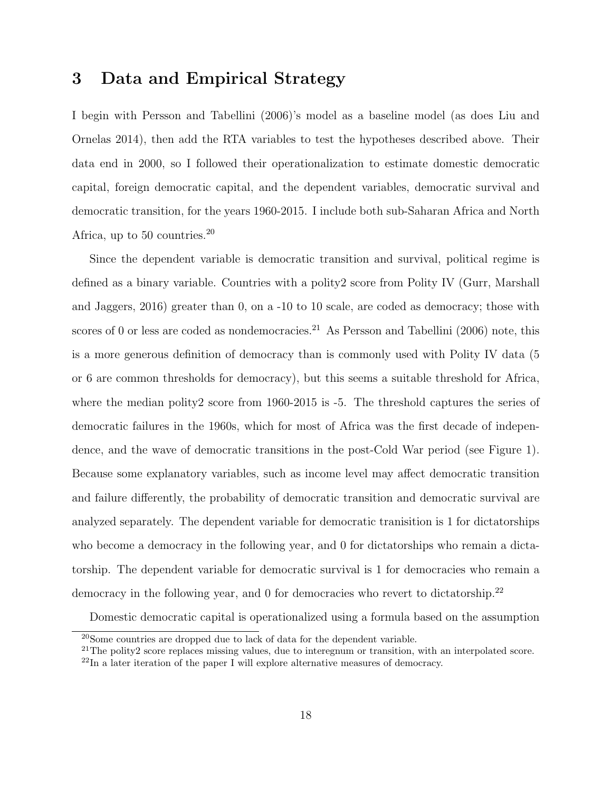# 3 Data and Empirical Strategy

I begin with [Persson and Tabellini](#page-33-9) [\(2006\)](#page-33-9)'s model as a baseline model (as does [Liu and](#page-33-8) [Ornelas 2014\)](#page-33-8), then add the RTA variables to test the hypotheses described above. Their data end in 2000, so I followed their operationalization to estimate domestic democratic capital, foreign democratic capital, and the dependent variables, democratic survival and democratic transition, for the years 1960-2015. I include both sub-Saharan Africa and North Africa, up to 50 countries.<sup>[20](#page-0-0)</sup>

Since the dependent variable is democratic transition and survival, political regime is defined as a binary variable. Countries with a polity2 score from Polity IV [\(Gurr, Marshall](#page-33-12) [and Jaggers, 2016\)](#page-33-12) greater than 0, on a -10 to 10 scale, are coded as democracy; those with scores of 0 or less are coded as nondemocracies.<sup>[21](#page-0-0)</sup> As [Persson and Tabellini](#page-33-9) [\(2006\)](#page-33-9) note, this is a more generous definition of democracy than is commonly used with Polity IV data (5 or 6 are common thresholds for democracy), but this seems a suitable threshold for Africa, where the median polity2 score from 1960-2015 is -5. The threshold captures the series of democratic failures in the 1960s, which for most of Africa was the first decade of independence, and the wave of democratic transitions in the post-Cold War period (see Figure [1\)](#page-1-0). Because some explanatory variables, such as income level may affect democratic transition and failure differently, the probability of democratic transition and democratic survival are analyzed separately. The dependent variable for democratic tranisition is 1 for dictatorships who become a democracy in the following year, and 0 for dictatorships who remain a dictatorship. The dependent variable for democratic survival is 1 for democracies who remain a democracy in the following year, and 0 for democracies who revert to dictatorship.<sup>[22](#page-0-0)</sup>

Domestic democratic capital is operationalized using a formula based on the assumption

<sup>20</sup>Some countries are dropped due to lack of data for the dependent variable.

<sup>&</sup>lt;sup>21</sup>The polity2 score replaces missing values, due to interegnum or transition, with an interpolated score.

 $^{22}$ In a later iteration of the paper I will explore alternative measures of democracy.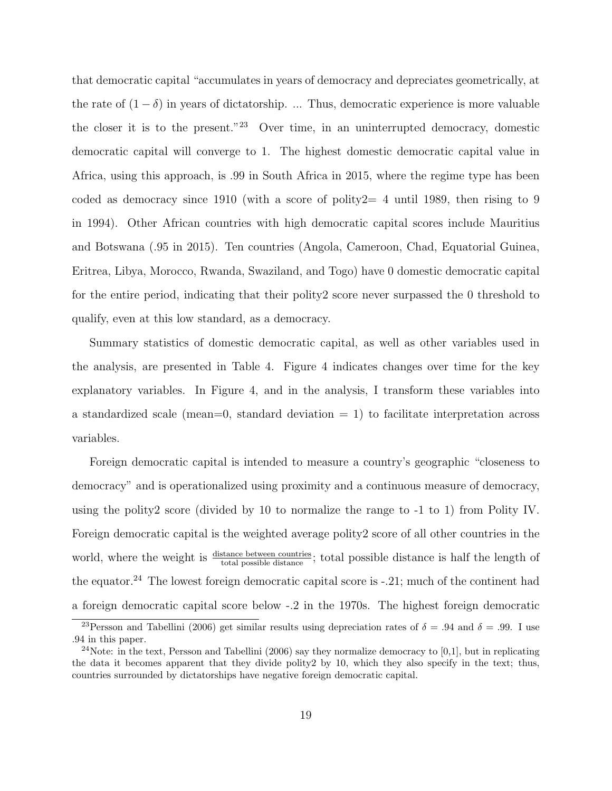that democratic capital "accumulates in years of democracy and depreciates geometrically, at the rate of  $(1 - \delta)$  in years of dictatorship. ... Thus, democratic experience is more valuable the closer it is to the present."[23](#page-0-0) Over time, in an uninterrupted democracy, domestic democratic capital will converge to 1. The highest domestic democratic capital value in Africa, using this approach, is .99 in South Africa in 2015, where the regime type has been coded as democracy since 1910 (with a score of polity  $2=4$  until 1989, then rising to 9 in 1994). Other African countries with high democratic capital scores include Mauritius and Botswana (.95 in 2015). Ten countries (Angola, Cameroon, Chad, Equatorial Guinea, Eritrea, Libya, Morocco, Rwanda, Swaziland, and Togo) have 0 domestic democratic capital for the entire period, indicating that their polity2 score never surpassed the 0 threshold to qualify, even at this low standard, as a democracy.

Summary statistics of domestic democratic capital, as well as other variables used in the analysis, are presented in Table [4.](#page-20-0) Figure [4](#page-20-1) indicates changes over time for the key explanatory variables. In Figure [4,](#page-20-1) and in the analysis, I transform these variables into a standardized scale (mean=0, standard deviation  $= 1$ ) to facilitate interpretation across variables.

Foreign democratic capital is intended to measure a country's geographic "closeness to democracy" and is operationalized using proximity and a continuous measure of democracy, using the polity2 score (divided by 10 to normalize the range to -1 to 1) from Polity IV. Foreign democratic capital is the weighted average polity2 score of all other countries in the world, where the weight is  $\frac{\text{distance between countries}}{\text{total possible distance}}$ ; total possible distance is half the length of the equator.<sup>[24](#page-0-0)</sup> The lowest foreign democratic capital score is  $-.21$ ; much of the continent had a foreign democratic capital score below -.2 in the 1970s. The highest foreign democratic

<sup>&</sup>lt;sup>23</sup>[Persson and Tabellini](#page-33-9) [\(2006\)](#page-33-9) get similar results using depreciation rates of  $\delta = .94$  and  $\delta = .99$ . I use .94 in this paper.

 $24$ Note: in the text, [Persson and Tabellini](#page-33-9) [\(2006\)](#page-33-9) say they normalize democracy to [0,1], but in replicating the data it becomes apparent that they divide polity2 by 10, which they also specify in the text; thus, countries surrounded by dictatorships have negative foreign democratic capital.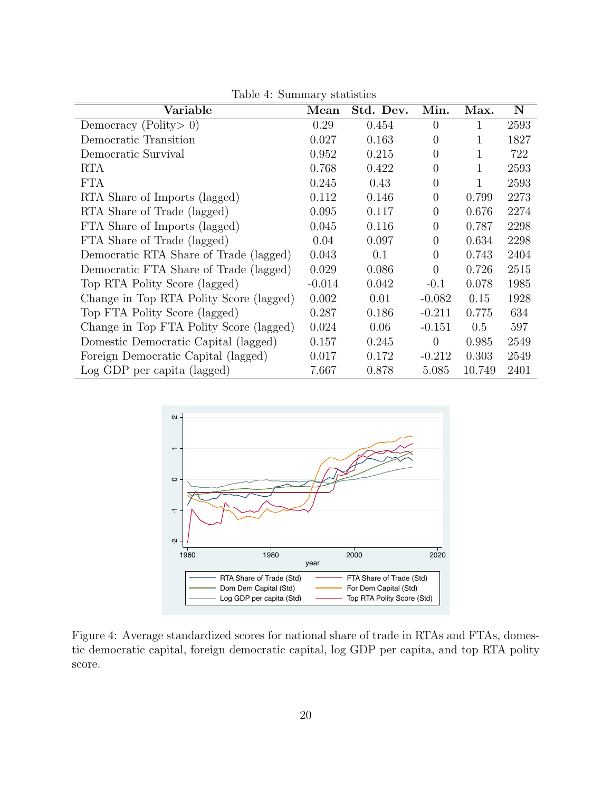| Variable                                | Mean     | Std. Dev. | Min.             | Max.   | $\mathbf N$ |
|-----------------------------------------|----------|-----------|------------------|--------|-------------|
| Democracy (Polity $> 0$ )               | 0.29     | 0.454     | $\left( \right)$ |        | 2593        |
| Democratic Transition                   | 0.027    | 0.163     | $\theta$         |        | 1827        |
| Democratic Survival                     | 0.952    | 0.215     | $\Omega$         |        | 722         |
| <b>RTA</b>                              | 0.768    | 0.422     | $\overline{0}$   | 1      | 2593        |
| <b>FTA</b>                              | 0.245    | 0.43      | $\theta$         |        | 2593        |
| RTA Share of Imports (lagged)           | 0.112    | 0.146     | $\overline{0}$   | 0.799  | 2273        |
| RTA Share of Trade (lagged)             | 0.095    | 0.117     | $\overline{0}$   | 0.676  | 2274        |
| FTA Share of Imports (lagged)           | 0.045    | 0.116     | $\overline{0}$   | 0.787  | 2298        |
| FTA Share of Trade (lagged)             | 0.04     | 0.097     | $\overline{0}$   | 0.634  | 2298        |
| Democratic RTA Share of Trade (lagged)  | 0.043    | 0.1       | $\overline{0}$   | 0.743  | 2404        |
| Democratic FTA Share of Trade (lagged)  | 0.029    | 0.086     | $\overline{0}$   | 0.726  | 2515        |
| Top RTA Polity Score (lagged)           | $-0.014$ | 0.042     | $-0.1$           | 0.078  | 1985        |
| Change in Top RTA Polity Score (lagged) | 0.002    | 0.01      | $-0.082$         | 0.15   | 1928        |
| Top FTA Polity Score (lagged)           | 0.287    | 0.186     | $-0.211$         | 0.775  | 634         |
| Change in Top FTA Polity Score (lagged) | 0.024    | 0.06      | $-0.151$         | 0.5    | 597         |
| Domestic Democratic Capital (lagged)    | 0.157    | 0.245     | $\theta$         | 0.985  | 2549        |
| Foreign Democratic Capital (lagged)     | 0.017    | 0.172     | $-0.212$         | 0.303  | 2549        |
| Log GDP per capita (lagged)             | 7.667    | 0.878     | 5.085            | 10.749 | 2401        |

<span id="page-20-0"></span>Table 4: Summary statistics



<span id="page-20-1"></span>Figure 4: Average standardized scores for national share of trade in RTAs and FTAs, domestic democratic capital, foreign democratic capital, log GDP per capita, and top RTA polity score.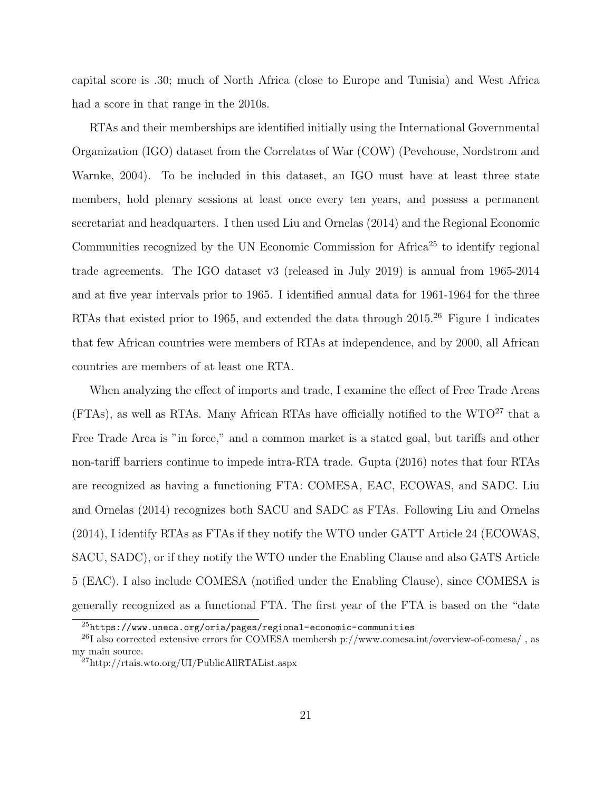capital score is .30; much of North Africa (close to Europe and Tunisia) and West Africa had a score in that range in the 2010s.

RTAs and their memberships are identified initially using the International Governmental Organization (IGO) dataset from the Correlates of War (COW) [\(Pevehouse, Nordstrom and](#page-34-6) [Warnke, 2004\)](#page-34-6). To be included in this dataset, an IGO must have at least three state members, hold plenary sessions at least once every ten years, and possess a permanent secretariat and headquarters. I then used [Liu and Ornelas](#page-33-8) [\(2014\)](#page-33-8) and the Regional Economic Communities recognized by the UN Economic Commission for Africa<sup>[25](#page-0-0)</sup> to identify regional trade agreements. The IGO dataset v3 (released in July 2019) is annual from 1965-2014 and at five year intervals prior to 1965. I identified annual data for 1961-1964 for the three RTAs that existed prior to 1965, and extended the data through 2015.<sup>[26](#page-0-0)</sup> Figure [1](#page-1-0) indicates that few African countries were members of RTAs at independence, and by 2000, all African countries are members of at least one RTA.

When analyzing the effect of imports and trade, I examine the effect of Free Trade Areas (FTAs), as well as RTAs. Many African RTAs have officially notified to the WTO<sup>[27](#page-0-0)</sup> that a Free Trade Area is "in force," and a common market is a stated goal, but tariffs and other non-tariff barriers continue to impede intra-RTA trade. [Gupta](#page-33-13) [\(2016\)](#page-33-13) notes that four RTAs are recognized as having a functioning FTA: COMESA, EAC, ECOWAS, and SADC. [Liu](#page-33-8) [and Ornelas](#page-33-8) [\(2014\)](#page-33-8) recognizes both SACU and SADC as FTAs. Following [Liu and Ornelas](#page-33-8) [\(2014\)](#page-33-8), I identify RTAs as FTAs if they notify the WTO under GATT Article 24 (ECOWAS, SACU, SADC), or if they notify the WTO under the Enabling Clause and also GATS Article 5 (EAC). I also include COMESA (notified under the Enabling Clause), since COMESA is generally recognized as a functional FTA. The first year of the FTA is based on the "date

 $^{25}$ <https://www.uneca.org/oria/pages/regional-economic-communities>

 $^{26}I$  also corrected extensive errors for COMESA membersh p://www.comesa.int/overview-of-comesa/, as my main source.

<sup>27</sup>http://rtais.wto.org/UI/PublicAllRTAList.aspx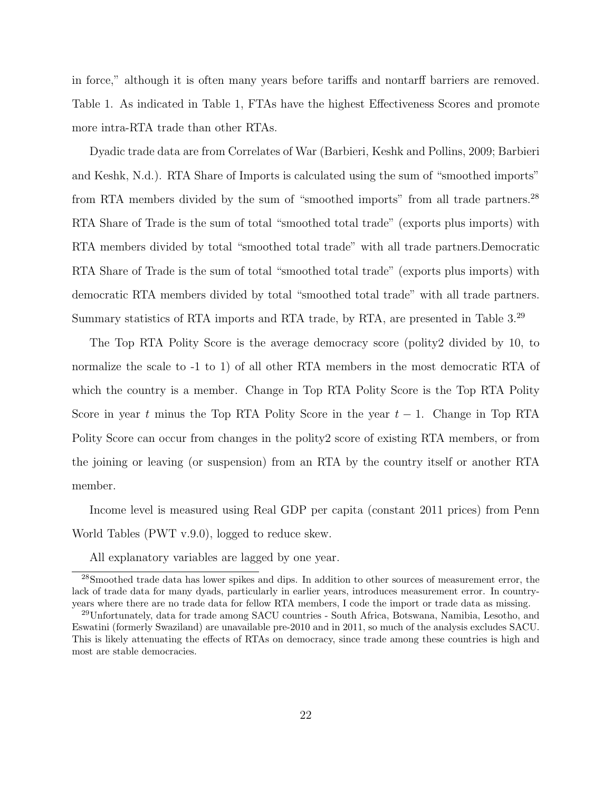in force," although it is often many years before tariffs and nontarff barriers are removed. Table [1.](#page-4-0) As indicated in Table [1,](#page-4-0) FTAs have the highest Effectiveness Scores and promote more intra-RTA trade than other RTAs.

Dyadic trade data are from Correlates of War [\(Barbieri, Keshk and Pollins, 2009;](#page-32-11) [Barbieri](#page-32-12) [and Keshk, N.d.\)](#page-32-12). RTA Share of Imports is calculated using the sum of "smoothed imports" from RTA members divided by the sum of "smoothed imports" from all trade partners.<sup>[28](#page-0-0)</sup> RTA Share of Trade is the sum of total "smoothed total trade" (exports plus imports) with RTA members divided by total "smoothed total trade" with all trade partners.Democratic RTA Share of Trade is the sum of total "smoothed total trade" (exports plus imports) with democratic RTA members divided by total "smoothed total trade" with all trade partners. Summary statistics of RTA imports and RTA trade, by RTA, are presented in Table [3.](#page-11-0)[29](#page-0-0)

The Top RTA Polity Score is the average democracy score (polity2 divided by 10, to normalize the scale to -1 to 1) of all other RTA members in the most democratic RTA of which the country is a member. Change in Top RTA Polity Score is the Top RTA Polity Score in year t minus the Top RTA Polity Score in the year  $t-1$ . Change in Top RTA Polity Score can occur from changes in the polity2 score of existing RTA members, or from the joining or leaving (or suspension) from an RTA by the country itself or another RTA member.

Income level is measured using Real GDP per capita (constant 2011 prices) from Penn World Tables (PWT v.9.0), logged to reduce skew.

All explanatory variables are lagged by one year.

<sup>28</sup>Smoothed trade data has lower spikes and dips. In addition to other sources of measurement error, the lack of trade data for many dyads, particularly in earlier years, introduces measurement error. In countryyears where there are no trade data for fellow RTA members, I code the import or trade data as missing.

<sup>29</sup>Unfortunately, data for trade among SACU countries - South Africa, Botswana, Namibia, Lesotho, and Eswatini (formerly Swaziland) are unavailable pre-2010 and in 2011, so much of the analysis excludes SACU. This is likely attenuating the effects of RTAs on democracy, since trade among these countries is high and most are stable democracies.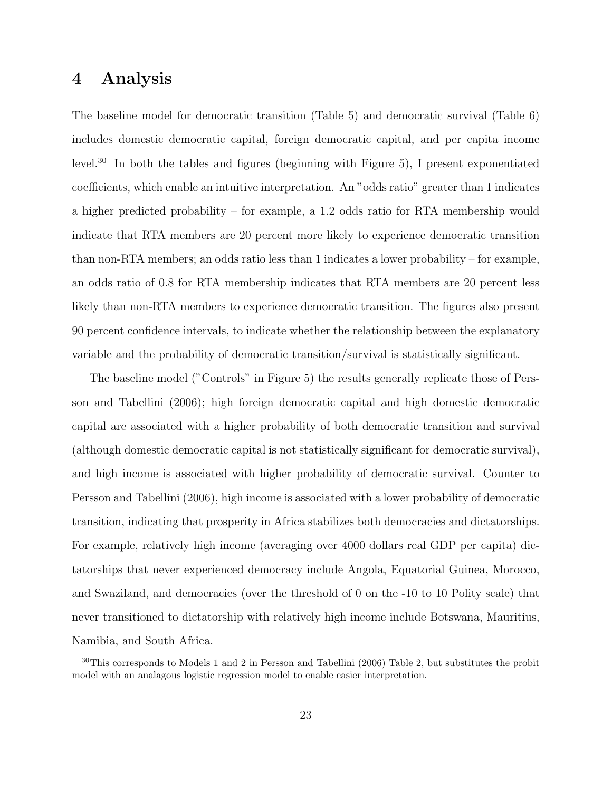## 4 Analysis

The baseline model for democratic transition (Table [5\)](#page-35-0) and democratic survival (Table [6\)](#page-35-1) includes domestic democratic capital, foreign democratic capital, and per capita income level.[30](#page-0-0) In both the tables and figures (beginning with Figure [5\)](#page-24-0), I present exponentiated coefficients, which enable an intuitive interpretation. An "odds ratio" greater than 1 indicates a higher predicted probability – for example, a 1.2 odds ratio for RTA membership would indicate that RTA members are 20 percent more likely to experience democratic transition than non-RTA members; an odds ratio less than 1 indicates a lower probability – for example, an odds ratio of 0.8 for RTA membership indicates that RTA members are 20 percent less likely than non-RTA members to experience democratic transition. The figures also present 90 percent confidence intervals, to indicate whether the relationship between the explanatory variable and the probability of democratic transition/survival is statistically significant.

The baseline model ("Controls" in Figure [5\)](#page-24-0) the results generally replicate those of [Pers](#page-33-9)[son and Tabellini](#page-33-9) [\(2006\)](#page-33-9); high foreign democratic capital and high domestic democratic capital are associated with a higher probability of both democratic transition and survival (although domestic democratic capital is not statistically significant for democratic survival), and high income is associated with higher probability of democratic survival. Counter to [Persson and Tabellini](#page-33-9) [\(2006\)](#page-33-9), high income is associated with a lower probability of democratic transition, indicating that prosperity in Africa stabilizes both democracies and dictatorships. For example, relatively high income (averaging over 4000 dollars real GDP per capita) dictatorships that never experienced democracy include Angola, Equatorial Guinea, Morocco, and Swaziland, and democracies (over the threshold of 0 on the -10 to 10 Polity scale) that never transitioned to dictatorship with relatively high income include Botswana, Mauritius, Namibia, and South Africa.

 $30$ This corresponds to Models 1 and 2 in [Persson and Tabellini](#page-33-9) [\(2006\)](#page-33-9) Table 2, but substitutes the probit model with an analagous logistic regression model to enable easier interpretation.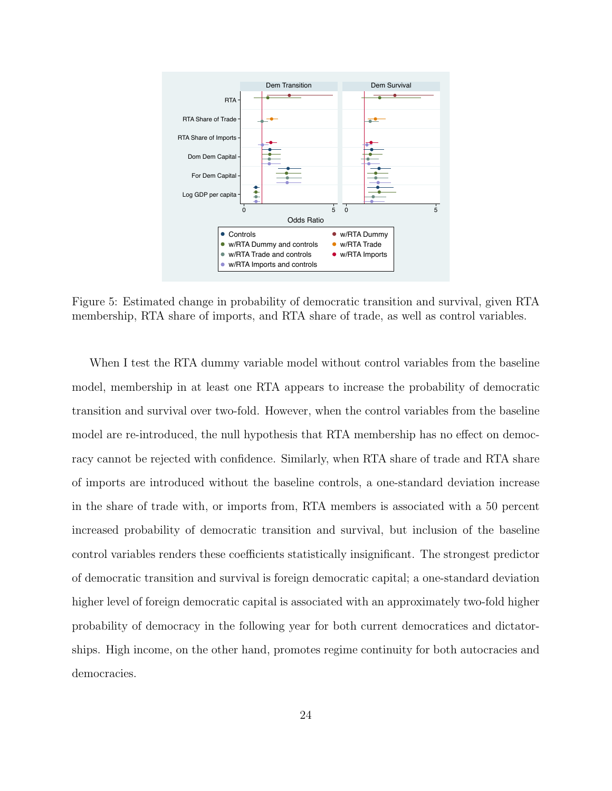

<span id="page-24-0"></span>Figure 5: Estimated change in probability of democratic transition and survival, given RTA membership, RTA share of imports, and RTA share of trade, as well as control variables.

When I test the RTA dummy variable model without control variables from the baseline model, membership in at least one RTA appears to increase the probability of democratic transition and survival over two-fold. However, when the control variables from the baseline model are re-introduced, the null hypothesis that RTA membership has no effect on democracy cannot be rejected with confidence. Similarly, when RTA share of trade and RTA share of imports are introduced without the baseline controls, a one-standard deviation increase in the share of trade with, or imports from, RTA members is associated with a 50 percent increased probability of democratic transition and survival, but inclusion of the baseline control variables renders these coefficients statistically insignificant. The strongest predictor of democratic transition and survival is foreign democratic capital; a one-standard deviation higher level of foreign democratic capital is associated with an approximately two-fold higher probability of democracy in the following year for both current democratices and dictatorships. High income, on the other hand, promotes regime continuity for both autocracies and democracies.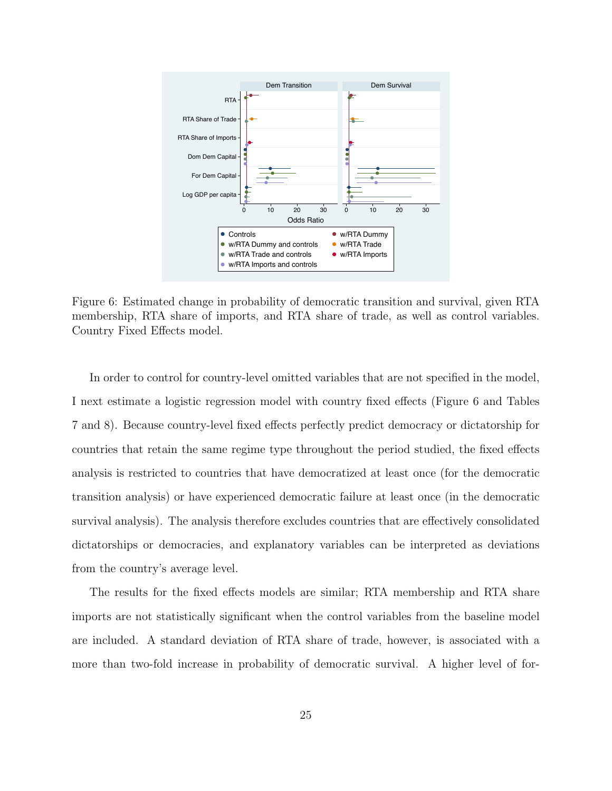

<span id="page-25-0"></span>Figure 6: Estimated change in probability of democratic transition and survival, given RTA membership, RTA share of imports, and RTA share of trade, as well as control variables. Country Fixed Effects model.

In order to control for country-level omitted variables that are not specified in the model, I next estimate a logistic regression model with country fixed effects (Figure [6](#page-25-0) and Tables [7](#page-36-0) and [8\)](#page-36-1). Because country-level fixed effects perfectly predict democracy or dictatorship for countries that retain the same regime type throughout the period studied, the fixed effects analysis is restricted to countries that have democratized at least once (for the democratic transition analysis) or have experienced democratic failure at least once (in the democratic survival analysis). The analysis therefore excludes countries that are effectively consolidated dictatorships or democracies, and explanatory variables can be interpreted as deviations from the country's average level.

The results for the fixed effects models are similar; RTA membership and RTA share imports are not statistically significant when the control variables from the baseline model are included. A standard deviation of RTA share of trade, however, is associated with a more than two-fold increase in probability of democratic survival. A higher level of for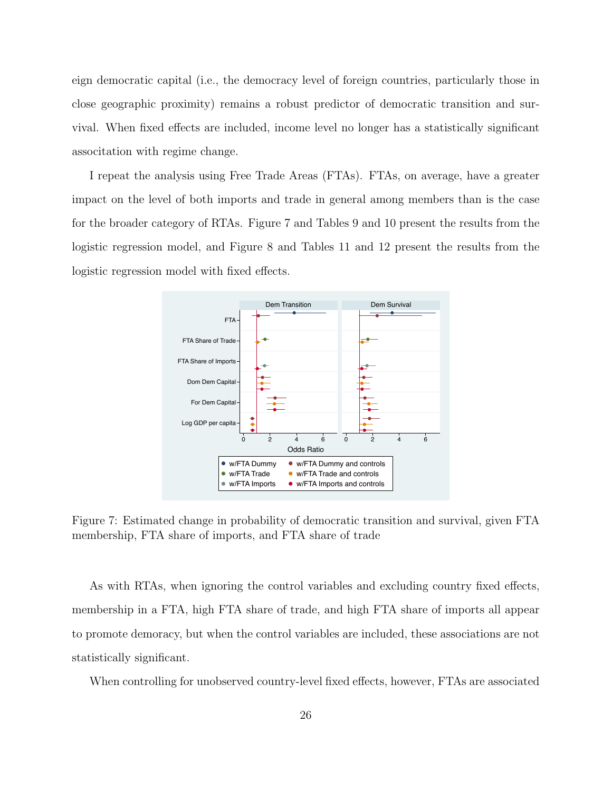eign democratic capital (i.e., the democracy level of foreign countries, particularly those in close geographic proximity) remains a robust predictor of democratic transition and survival. When fixed effects are included, income level no longer has a statistically significant associtation with regime change.

I repeat the analysis using Free Trade Areas (FTAs). FTAs, on average, have a greater impact on the level of both imports and trade in general among members than is the case for the broader category of RTAs. Figure [7](#page-26-0) and Tables [9](#page-37-0) and [10](#page-37-1) present the results from the logistic regression model, and Figure [8](#page-28-0) and Tables [11](#page-38-0) and [12](#page-38-1) present the results from the logistic regression model with fixed effects.



<span id="page-26-0"></span>Figure 7: Estimated change in probability of democratic transition and survival, given FTA membership, FTA share of imports, and FTA share of trade

As with RTAs, when ignoring the control variables and excluding country fixed effects, membership in a FTA, high FTA share of trade, and high FTA share of imports all appear to promote demoracy, but when the control variables are included, these associations are not statistically significant.

When controlling for unobserved country-level fixed effects, however, FTAs are associated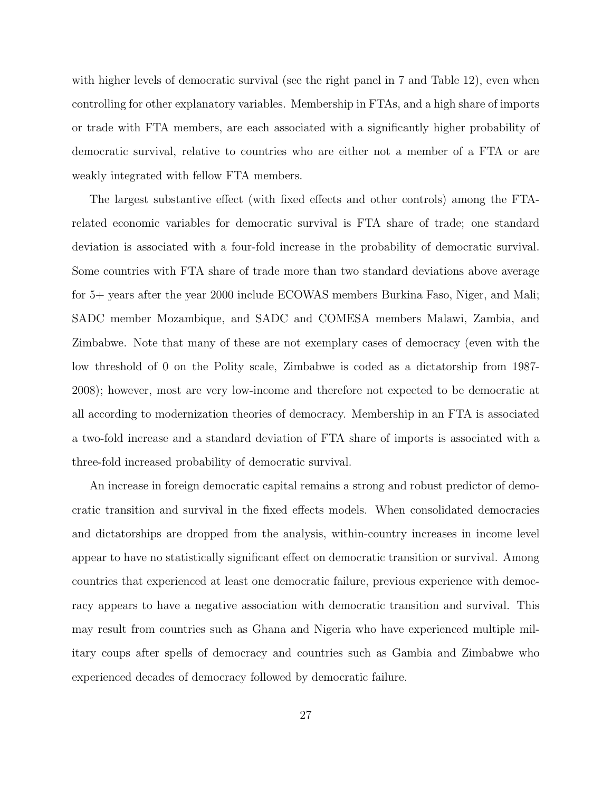with higher levels of democratic survival (see the right panel in [7](#page-26-0) and Table [12\)](#page-38-1), even when controlling for other explanatory variables. Membership in FTAs, and a high share of imports or trade with FTA members, are each associated with a significantly higher probability of democratic survival, relative to countries who are either not a member of a FTA or are weakly integrated with fellow FTA members.

The largest substantive effect (with fixed effects and other controls) among the FTArelated economic variables for democratic survival is FTA share of trade; one standard deviation is associated with a four-fold increase in the probability of democratic survival. Some countries with FTA share of trade more than two standard deviations above average for 5+ years after the year 2000 include ECOWAS members Burkina Faso, Niger, and Mali; SADC member Mozambique, and SADC and COMESA members Malawi, Zambia, and Zimbabwe. Note that many of these are not exemplary cases of democracy (even with the low threshold of 0 on the Polity scale, Zimbabwe is coded as a dictatorship from 1987- 2008); however, most are very low-income and therefore not expected to be democratic at all according to modernization theories of democracy. Membership in an FTA is associated a two-fold increase and a standard deviation of FTA share of imports is associated with a three-fold increased probability of democratic survival.

An increase in foreign democratic capital remains a strong and robust predictor of democratic transition and survival in the fixed effects models. When consolidated democracies and dictatorships are dropped from the analysis, within-country increases in income level appear to have no statistically significant effect on democratic transition or survival. Among countries that experienced at least one democratic failure, previous experience with democracy appears to have a negative association with democratic transition and survival. This may result from countries such as Ghana and Nigeria who have experienced multiple military coups after spells of democracy and countries such as Gambia and Zimbabwe who experienced decades of democracy followed by democratic failure.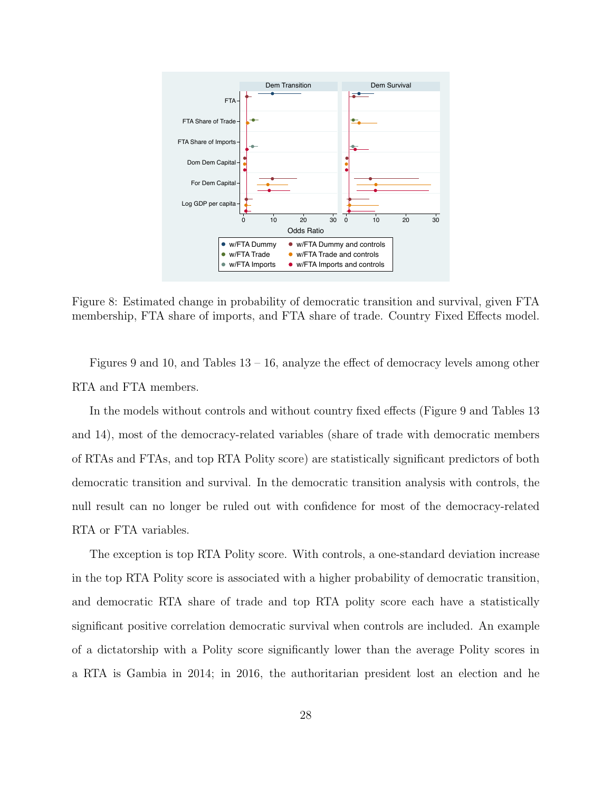

<span id="page-28-0"></span>Figure 8: Estimated change in probability of democratic transition and survival, given FTA membership, FTA share of imports, and FTA share of trade. Country Fixed Effects model.

Figures [9](#page-29-0) and [10,](#page-30-0) and Tables [13](#page-39-0) – [16,](#page-40-0) analyze the effect of democracy levels among other RTA and FTA members.

In the models without controls and without country fixed effects (Figure [9](#page-29-0) and Tables [13](#page-39-0) and [14\)](#page-39-1), most of the democracy-related variables (share of trade with democratic members of RTAs and FTAs, and top RTA Polity score) are statistically significant predictors of both democratic transition and survival. In the democratic transition analysis with controls, the null result can no longer be ruled out with confidence for most of the democracy-related RTA or FTA variables.

The exception is top RTA Polity score. With controls, a one-standard deviation increase in the top RTA Polity score is associated with a higher probability of democratic transition, and democratic RTA share of trade and top RTA polity score each have a statistically significant positive correlation democratic survival when controls are included. An example of a dictatorship with a Polity score significantly lower than the average Polity scores in a RTA is Gambia in 2014; in 2016, the authoritarian president lost an election and he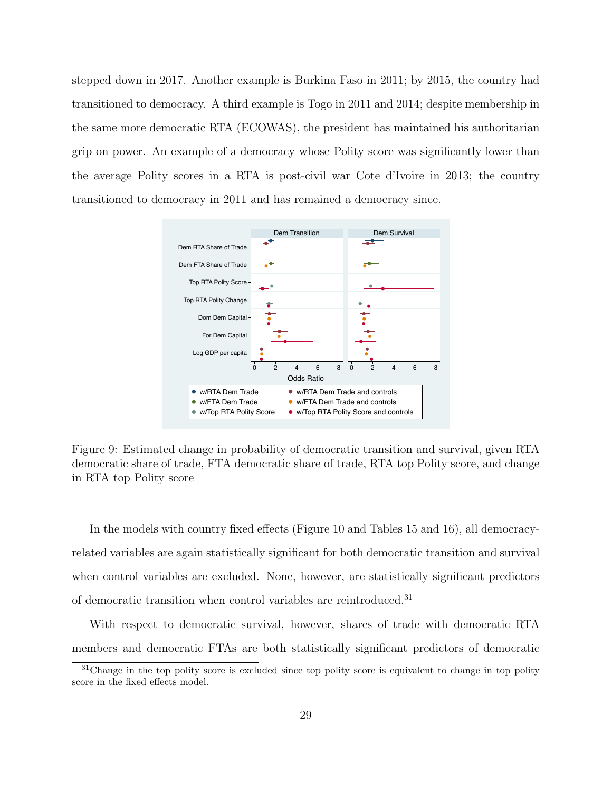stepped down in 2017. Another example is Burkina Faso in 2011; by 2015, the country had transitioned to democracy. A third example is Togo in 2011 and 2014; despite membership in the same more democratic RTA (ECOWAS), the president has maintained his authoritarian grip on power. An example of a democracy whose Polity score was significantly lower than the average Polity scores in a RTA is post-civil war Cote d'Ivoire in 2013; the country transitioned to democracy in 2011 and has remained a democracy since.



<span id="page-29-0"></span>Figure 9: Estimated change in probability of democratic transition and survival, given RTA democratic share of trade, FTA democratic share of trade, RTA top Polity score, and change in RTA top Polity score

In the models with country fixed effects (Figure [10](#page-30-0) and Tables [15](#page-40-1) and [16\)](#page-40-0), all democracyrelated variables are again statistically significant for both democratic transition and survival when control variables are excluded. None, however, are statistically significant predictors of democratic transition when control variables are reintroduced.<sup>[31](#page-0-0)</sup>

With respect to democratic survival, however, shares of trade with democratic RTA members and democratic FTAs are both statistically significant predictors of democratic

 $31$ Change in the top polity score is excluded since top polity score is equivalent to change in top polity score in the fixed effects model.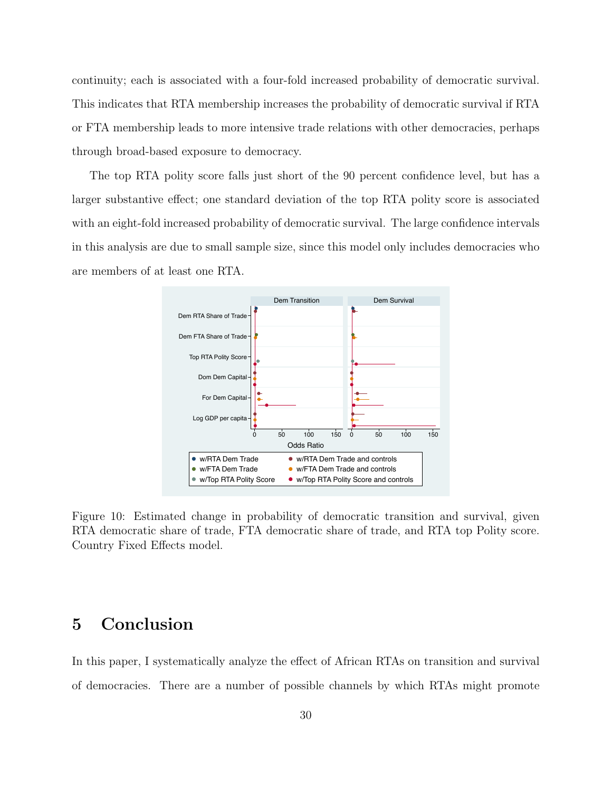continuity; each is associated with a four-fold increased probability of democratic survival. This indicates that RTA membership increases the probability of democratic survival if RTA or FTA membership leads to more intensive trade relations with other democracies, perhaps through broad-based exposure to democracy.

The top RTA polity score falls just short of the 90 percent confidence level, but has a larger substantive effect; one standard deviation of the top RTA polity score is associated with an eight-fold increased probability of democratic survival. The large confidence intervals in this analysis are due to small sample size, since this model only includes democracies who are members of at least one RTA.



<span id="page-30-0"></span>Figure 10: Estimated change in probability of democratic transition and survival, given RTA democratic share of trade, FTA democratic share of trade, and RTA top Polity score. Country Fixed Effects model.

# 5 Conclusion

In this paper, I systematically analyze the effect of African RTAs on transition and survival of democracies. There are a number of possible channels by which RTAs might promote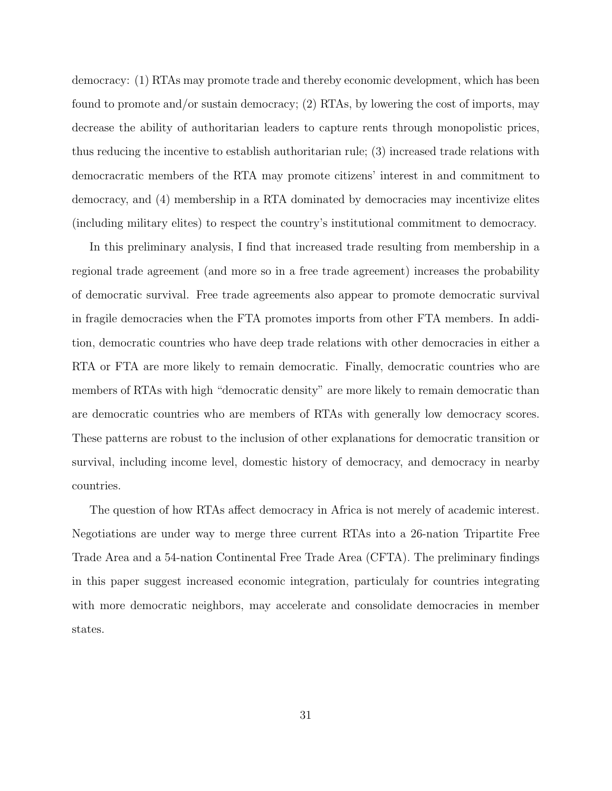democracy: (1) RTAs may promote trade and thereby economic development, which has been found to promote and/or sustain democracy; (2) RTAs, by lowering the cost of imports, may decrease the ability of authoritarian leaders to capture rents through monopolistic prices, thus reducing the incentive to establish authoritarian rule; (3) increased trade relations with democracratic members of the RTA may promote citizens' interest in and commitment to democracy, and (4) membership in a RTA dominated by democracies may incentivize elites (including military elites) to respect the country's institutional commitment to democracy.

In this preliminary analysis, I find that increased trade resulting from membership in a regional trade agreement (and more so in a free trade agreement) increases the probability of democratic survival. Free trade agreements also appear to promote democratic survival in fragile democracies when the FTA promotes imports from other FTA members. In addition, democratic countries who have deep trade relations with other democracies in either a RTA or FTA are more likely to remain democratic. Finally, democratic countries who are members of RTAs with high "democratic density" are more likely to remain democratic than are democratic countries who are members of RTAs with generally low democracy scores. These patterns are robust to the inclusion of other explanations for democratic transition or survival, including income level, domestic history of democracy, and democracy in nearby countries.

The question of how RTAs affect democracy in Africa is not merely of academic interest. Negotiations are under way to merge three current RTAs into a 26-nation Tripartite Free Trade Area and a 54-nation Continental Free Trade Area (CFTA). The preliminary findings in this paper suggest increased economic integration, particulaly for countries integrating with more democratic neighbors, may accelerate and consolidate democracies in member states.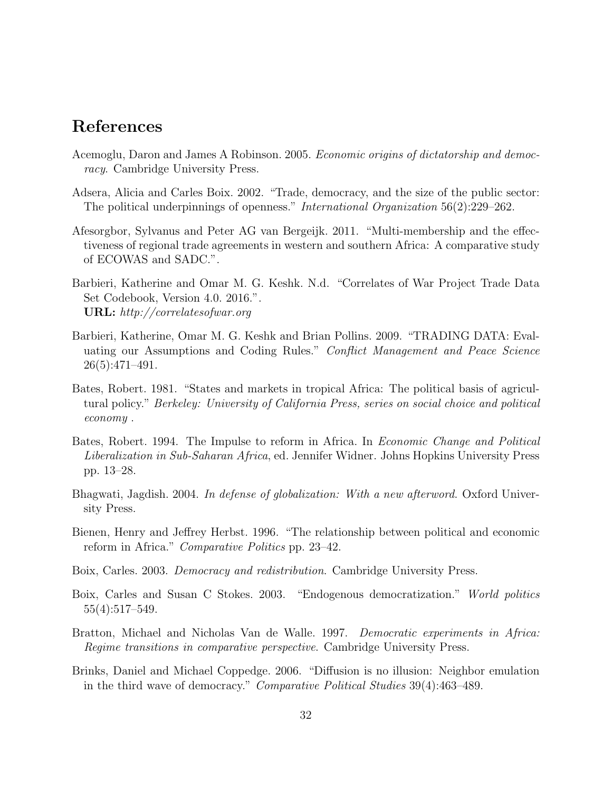# References

- <span id="page-32-5"></span>Acemoglu, Daron and James A Robinson. 2005. Economic origins of dictatorship and democracy. Cambridge University Press.
- <span id="page-32-7"></span>Adsera, Alicia and Carles Boix. 2002. "Trade, democracy, and the size of the public sector: The political underpinnings of openness." International Organization 56(2):229–262.
- <span id="page-32-1"></span>Afesorgbor, Sylvanus and Peter AG van Bergeijk. 2011. "Multi-membership and the effectiveness of regional trade agreements in western and southern Africa: A comparative study of ECOWAS and SADC.".
- <span id="page-32-12"></span>Barbieri, Katherine and Omar M. G. Keshk. N.d. "Correlates of War Project Trade Data Set Codebook, Version 4.0. 2016.". URL: http://correlatesofwar.org
- <span id="page-32-11"></span>Barbieri, Katherine, Omar M. G. Keshk and Brian Pollins. 2009. "TRADING DATA: Evaluating our Assumptions and Coding Rules." Conflict Management and Peace Science 26(5):471–491.
- <span id="page-32-4"></span>Bates, Robert. 1981. "States and markets in tropical Africa: The political basis of agricultural policy." Berkeley: University of California Press, series on social choice and political economy .
- <span id="page-32-9"></span>Bates, Robert. 1994. The Impulse to reform in Africa. In Economic Change and Political Liberalization in Sub-Saharan Africa, ed. Jennifer Widner. Johns Hopkins University Press pp. 13–28.
- <span id="page-32-0"></span>Bhagwati, Jagdish. 2004. In defense of globalization: With a new afterword. Oxford University Press.
- <span id="page-32-8"></span>Bienen, Henry and Jeffrey Herbst. 1996. "The relationship between political and economic reform in Africa." Comparative Politics pp. 23–42.
- <span id="page-32-6"></span>Boix, Carles. 2003. Democracy and redistribution. Cambridge University Press.
- <span id="page-32-2"></span>Boix, Carles and Susan C Stokes. 2003. "Endogenous democratization." World politics 55(4):517–549.
- <span id="page-32-3"></span>Bratton, Michael and Nicholas Van de Walle. 1997. Democratic experiments in Africa: Regime transitions in comparative perspective. Cambridge University Press.
- <span id="page-32-10"></span>Brinks, Daniel and Michael Coppedge. 2006. "Diffusion is no illusion: Neighbor emulation in the third wave of democracy." Comparative Political Studies 39(4):463–489.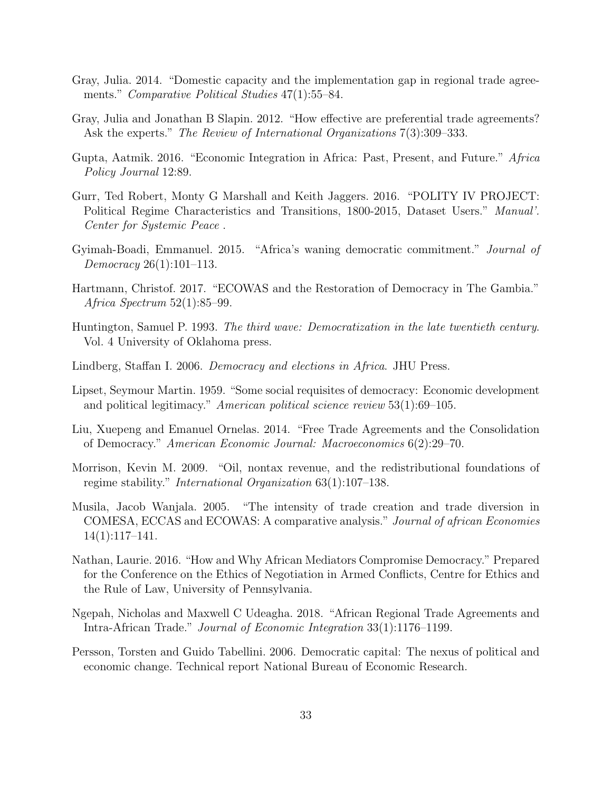- <span id="page-33-2"></span>Gray, Julia. 2014. "Domestic capacity and the implementation gap in regional trade agreements." Comparative Political Studies 47(1):55–84.
- <span id="page-33-3"></span>Gray, Julia and Jonathan B Slapin. 2012. "How effective are preferential trade agreements? Ask the experts." The Review of International Organizations 7(3):309–333.
- <span id="page-33-13"></span>Gupta, Aatmik. 2016. "Economic Integration in Africa: Past, Present, and Future." Africa Policy Journal 12:89.
- <span id="page-33-12"></span>Gurr, Ted Robert, Monty G Marshall and Keith Jaggers. 2016. "POLITY IV PROJECT: Political Regime Characteristics and Transitions, 1800-2015, Dataset Users." Manual'. Center for Systemic Peace .
- <span id="page-33-7"></span>Gyimah-Boadi, Emmanuel. 2015. "Africa's waning democratic commitment." Journal of Democracy 26(1):101–113.
- <span id="page-33-0"></span>Hartmann, Christof. 2017. "ECOWAS and the Restoration of Democracy in The Gambia." Africa Spectrum 52(1):85–99.
- <span id="page-33-11"></span>Huntington, Samuel P. 1993. The third wave: Democratization in the late twentieth century. Vol. 4 University of Oklahoma press.
- <span id="page-33-10"></span>Lindberg, Staffan I. 2006. Democracy and elections in Africa. JHU Press.
- <span id="page-33-5"></span>Lipset, Seymour Martin. 1959. "Some social requisites of democracy: Economic development and political legitimacy." American political science review 53(1):69–105.
- <span id="page-33-8"></span>Liu, Xuepeng and Emanuel Ornelas. 2014. "Free Trade Agreements and the Consolidation of Democracy." American Economic Journal: Macroeconomics 6(2):29–70.
- <span id="page-33-6"></span>Morrison, Kevin M. 2009. "Oil, nontax revenue, and the redistributional foundations of regime stability." International Organization 63(1):107–138.
- <span id="page-33-4"></span>Musila, Jacob Wanjala. 2005. "The intensity of trade creation and trade diversion in COMESA, ECCAS and ECOWAS: A comparative analysis." Journal of african Economies 14(1):117–141.
- <span id="page-33-1"></span>Nathan, Laurie. 2016. "How and Why African Mediators Compromise Democracy." Prepared for the Conference on the Ethics of Negotiation in Armed Conflicts, Centre for Ethics and the Rule of Law, University of Pennsylvania.
- Ngepah, Nicholas and Maxwell C Udeagha. 2018. "African Regional Trade Agreements and Intra-African Trade." Journal of Economic Integration 33(1):1176–1199.
- <span id="page-33-9"></span>Persson, Torsten and Guido Tabellini. 2006. Democratic capital: The nexus of political and economic change. Technical report National Bureau of Economic Research.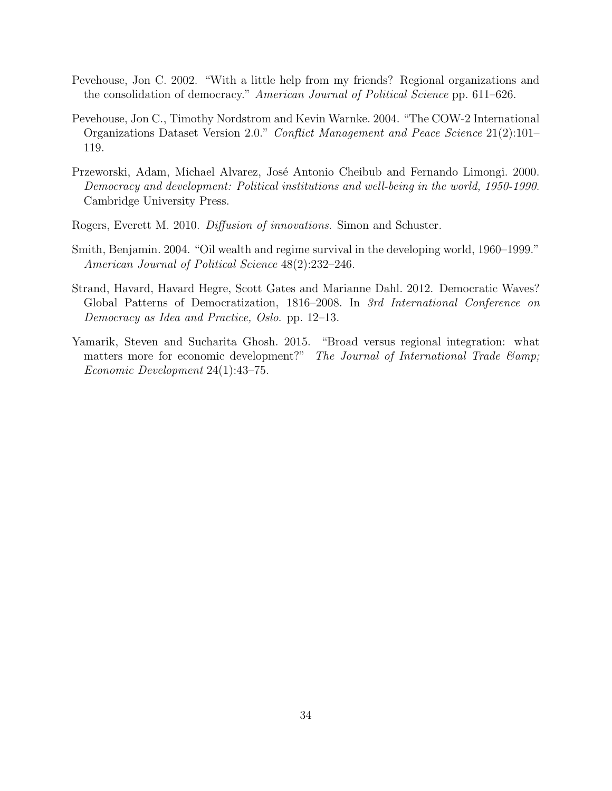- <span id="page-34-5"></span>Pevehouse, Jon C. 2002. "With a little help from my friends? Regional organizations and the consolidation of democracy." American Journal of Political Science pp. 611–626.
- <span id="page-34-6"></span>Pevehouse, Jon C., Timothy Nordstrom and Kevin Warnke. 2004. "The COW-2 International Organizations Dataset Version 2.0." Conflict Management and Peace Science 21(2):101– 119.
- <span id="page-34-1"></span>Przeworski, Adam, Michael Alvarez, José Antonio Cheibub and Fernando Limongi. 2000. Democracy and development: Political institutions and well-being in the world, 1950-1990. Cambridge University Press.
- <span id="page-34-4"></span>Rogers, Everett M. 2010. Diffusion of innovations. Simon and Schuster.
- <span id="page-34-2"></span>Smith, Benjamin. 2004. "Oil wealth and regime survival in the developing world, 1960–1999." American Journal of Political Science 48(2):232–246.
- <span id="page-34-3"></span>Strand, Havard, Havard Hegre, Scott Gates and Marianne Dahl. 2012. Democratic Waves? Global Patterns of Democratization, 1816–2008. In 3rd International Conference on Democracy as Idea and Practice, Oslo. pp. 12–13.
- <span id="page-34-0"></span>Yamarik, Steven and Sucharita Ghosh. 2015. "Broad versus regional integration: what matters more for economic development?" The Journal of International Trade  $\mathcal{E}$ amp; Economic Development 24(1):43–75.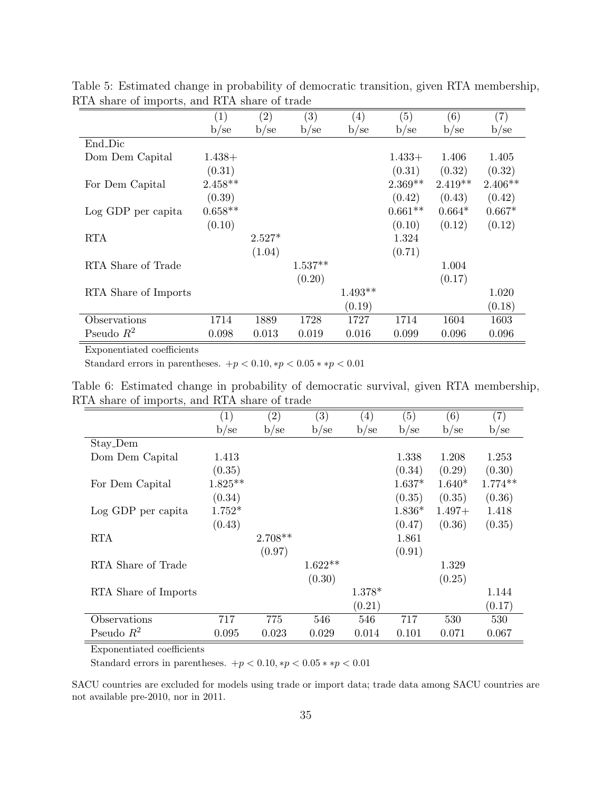|                      | $\left( 1\right)$ | $\left( 2\right)$ | $\left( 3\right)$ | $\left( 4\right)$ | (5)       | (6)       | $\left( 7\right)$ |
|----------------------|-------------------|-------------------|-------------------|-------------------|-----------|-----------|-------------------|
|                      | b/se              | $b$ /se           | b/se              | b/se              | b/se      | b/se      | b/se              |
| End_Dic              |                   |                   |                   |                   |           |           |                   |
| Dom Dem Capital      | $1.438+$          |                   |                   |                   | $1.433+$  | 1.406     | 1.405             |
|                      | (0.31)            |                   |                   |                   | (0.31)    | (0.32)    | (0.32)            |
| For Dem Capital      | $2.458**$         |                   |                   |                   | $2.369**$ | $2.419**$ | $2.406**$         |
|                      | (0.39)            |                   |                   |                   | (0.42)    | (0.43)    | (0.42)            |
| Log GDP per capita   | $0.658**$         |                   |                   |                   | $0.661**$ | $0.664*$  | $0.667*$          |
|                      | (0.10)            |                   |                   |                   | (0.10)    | (0.12)    | (0.12)            |
| <b>RTA</b>           |                   | $2.527*$          |                   |                   | 1.324     |           |                   |
|                      |                   | (1.04)            |                   |                   | (0.71)    |           |                   |
| RTA Share of Trade   |                   |                   | $1.537**$         |                   |           | 1.004     |                   |
|                      |                   |                   | (0.20)            |                   |           | (0.17)    |                   |
| RTA Share of Imports |                   |                   |                   | $1.493**$         |           |           | 1.020             |
|                      |                   |                   |                   | (0.19)            |           |           | (0.18)            |
| Observations         | 1714              | 1889              | 1728              | 1727              | 1714      | 1604      | 1603              |
| Pseudo $R^2$         | 0.098             | 0.013             | 0.019             | 0.016             | 0.099     | 0.096     | 0.096             |

<span id="page-35-0"></span>Table 5: Estimated change in probability of democratic transition, given RTA membership, RTA share of imports, and RTA share of trade  $=$ 

<span id="page-35-1"></span>Standard errors in parentheses.  $+p < 0.10, *p < 0.05 * *p < 0.01$ 

|                                              |  |  |  |  | Table 6: Estimated change in probability of democratic survival, given RTA membership, |
|----------------------------------------------|--|--|--|--|----------------------------------------------------------------------------------------|
| RTA share of imports, and RTA share of trade |  |  |  |  |                                                                                        |

|                      | (1)       | $\left( 2\right)$ | $\left( 3\right)$ | $\left( 4\right)$ | (5)      | (6)      | $\left( 7\right)$ |
|----------------------|-----------|-------------------|-------------------|-------------------|----------|----------|-------------------|
|                      | b/se      | b/se              | b/se              | b/se              | b/se     | b/sec    | b/sec             |
| Stay_Dem             |           |                   |                   |                   |          |          |                   |
| Dom Dem Capital      | 1.413     |                   |                   |                   | 1.338    | 1.208    | 1.253             |
|                      | (0.35)    |                   |                   |                   | (0.34)   | (0.29)   | (0.30)            |
| For Dem Capital      | $1.825**$ |                   |                   |                   | $1.637*$ | $1.640*$ | $1.774**$         |
|                      | (0.34)    |                   |                   |                   | (0.35)   | (0.35)   | (0.36)            |
| Log GDP per capita   | $1.752*$  |                   |                   |                   | $1.836*$ | $1.497+$ | 1.418             |
|                      | (0.43)    |                   |                   |                   | (0.47)   | (0.36)   | (0.35)            |
| <b>RTA</b>           |           | $2.708**$         |                   |                   | 1.861    |          |                   |
|                      |           | (0.97)            |                   |                   | (0.91)   |          |                   |
| RTA Share of Trade   |           |                   | $1.622**$         |                   |          | 1.329    |                   |
|                      |           |                   | (0.30)            |                   |          | (0.25)   |                   |
| RTA Share of Imports |           |                   |                   | 1.378*            |          |          | 1.144             |
|                      |           |                   |                   | (0.21)            |          |          | (0.17)            |
| Observations         | 717       | 775               | 546               | 546               | 717      | 530      | 530               |
| Pseudo $R^2$         | 0.095     | 0.023             | 0.029             | 0.014             | 0.101    | 0.071    | 0.067             |

Exponentiated coefficients

Standard errors in parentheses.  $+p < 0.10, *p < 0.05 * *p < 0.01$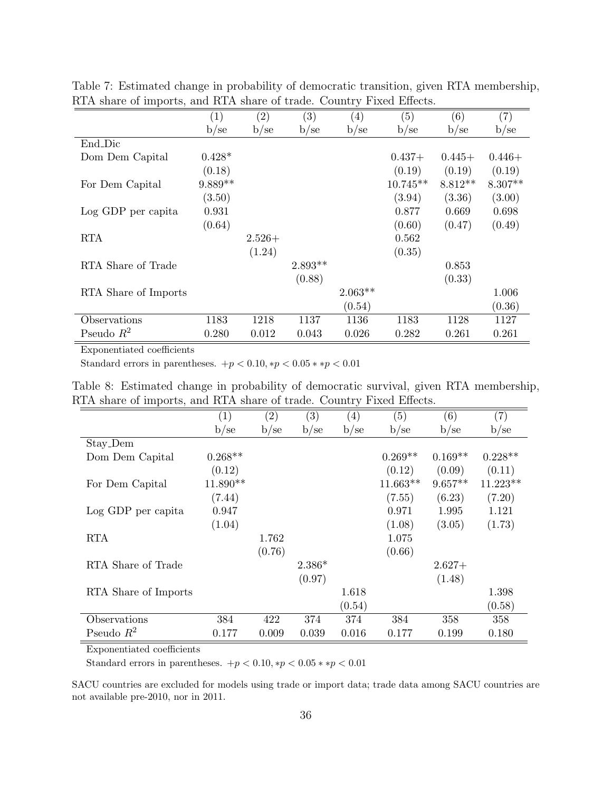|                      | $\left(1\right)$ | $\left( 2\right)$ | $\left( 3\right)$ | $\left(4\right)$ | (5)        | (6)       | $\left( 7\right)$ |
|----------------------|------------------|-------------------|-------------------|------------------|------------|-----------|-------------------|
|                      | b/se             | b/se              | b/se              | b/sec            | b/se       | b/se      | b/se              |
| End_Dic              |                  |                   |                   |                  |            |           |                   |
| Dom Dem Capital      | $0.428*$         |                   |                   |                  | $0.437+$   | $0.445+$  | $0.446+$          |
|                      | (0.18)           |                   |                   |                  | (0.19)     | (0.19)    | (0.19)            |
| For Dem Capital      | $9.889**$        |                   |                   |                  | $10.745**$ | $8.812**$ | $8.307**$         |
|                      | (3.50)           |                   |                   |                  | (3.94)     | (3.36)    | (3.00)            |
| Log GDP per capita   | 0.931            |                   |                   |                  | 0.877      | 0.669     | 0.698             |
|                      | (0.64)           |                   |                   |                  | (0.60)     | (0.47)    | (0.49)            |
| <b>RTA</b>           |                  | $2.526+$          |                   |                  | 0.562      |           |                   |
|                      |                  | (1.24)            |                   |                  | (0.35)     |           |                   |
| RTA Share of Trade   |                  |                   | $2.893**$         |                  |            | 0.853     |                   |
|                      |                  |                   | (0.88)            |                  |            | (0.33)    |                   |
| RTA Share of Imports |                  |                   |                   | $2.063**$        |            |           | 1.006             |
|                      |                  |                   |                   | (0.54)           |            |           | (0.36)            |
| Observations         | 1183             | 1218              | 1137              | 1136             | 1183       | 1128      | 1127              |
| Pseudo $R^2$         | 0.280            | 0.012             | 0.043             | 0.026            | 0.282      | 0.261     | 0.261             |

<span id="page-36-0"></span>Table 7: Estimated change in probability of democratic transition, given RTA membership, RTA share of imports, and RTA share of trade. Country Fixed Effects.

<span id="page-36-1"></span>Standard errors in parentheses.  $+p < 0.10, *p < 0.05 * *p < 0.01$ 

| Table 8: Estimated change in probability of democratic survival, given RTA membership, |  |  |                                     |  |
|----------------------------------------------------------------------------------------|--|--|-------------------------------------|--|
| RTA share of imports, and RTA share of trade. Country Fixed Effects.                   |  |  |                                     |  |
|                                                                                        |  |  | $(1)$ $(0)$ $(0)$ $(1)$ $(1)$ $(2)$ |  |

|                      | $\left( 1\right)$ | $\left( 2\right)$ | $\left( 3\right)$ | $\left( 4\right)$ | (5)        | (6)       | (7)        |
|----------------------|-------------------|-------------------|-------------------|-------------------|------------|-----------|------------|
|                      | b/se              | b/se              | b/se              | b/se              | b/se       | b/se      | b/se       |
| Stay_Dem             |                   |                   |                   |                   |            |           |            |
| Dom Dem Capital      | $0.268**$         |                   |                   |                   | $0.269**$  | $0.169**$ | $0.228**$  |
|                      | (0.12)            |                   |                   |                   | (0.12)     | (0.09)    | (0.11)     |
| For Dem Capital      | $11.890**$        |                   |                   |                   | $11.663**$ | $9.657**$ | $11.223**$ |
|                      | (7.44)            |                   |                   |                   | (7.55)     | (6.23)    | (7.20)     |
| Log GDP per capita   | 0.947             |                   |                   |                   | 0.971      | 1.995     | 1.121      |
|                      | (1.04)            |                   |                   |                   | (1.08)     | (3.05)    | (1.73)     |
| <b>RTA</b>           |                   | 1.762             |                   |                   | 1.075      |           |            |
|                      |                   | (0.76)            |                   |                   | (0.66)     |           |            |
| RTA Share of Trade   |                   |                   | $2.386*$          |                   |            | $2.627+$  |            |
|                      |                   |                   | (0.97)            |                   |            | (1.48)    |            |
| RTA Share of Imports |                   |                   |                   | 1.618             |            |           | 1.398      |
|                      |                   |                   |                   | (0.54)            |            |           | (0.58)     |
| Observations         | 384               | 422               | 374               | 374               | 384        | 358       | 358        |
| Pseudo $R^2$         | 0.177             | 0.009             | 0.039             | 0.016             | 0.177      | 0.199     | 0.180      |

Exponentiated coefficients

Standard errors in parentheses.  $+p < 0.10, *p < 0.05 * *p < 0.01$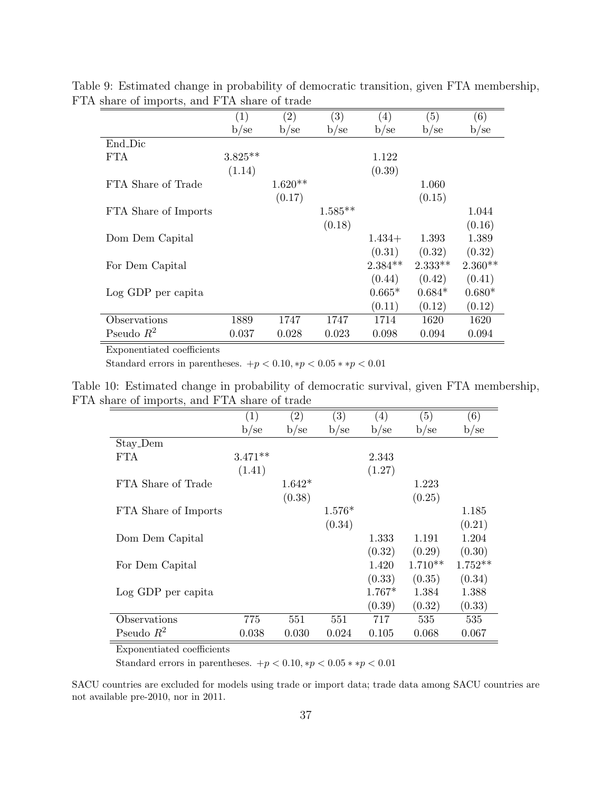<span id="page-37-0"></span>

|                      | $\left( 1\right)$ | $\left( 2\right)$ | $\left( 3\right)$ | $\left(4\right)$ | (5)       | (6)       |
|----------------------|-------------------|-------------------|-------------------|------------------|-----------|-----------|
|                      | b/se              | b/sec             | b/sec             | b/sec            | b/se      | b/sec     |
| End Dic              |                   |                   |                   |                  |           |           |
| <b>FTA</b>           | $3.825**$         |                   |                   | 1.122            |           |           |
|                      | (1.14)            |                   |                   | (0.39)           |           |           |
| FTA Share of Trade   |                   | $1.620**$         |                   |                  | 1.060     |           |
|                      |                   | (0.17)            |                   |                  | (0.15)    |           |
| FTA Share of Imports |                   |                   | $1.585**$         |                  |           | 1.044     |
|                      |                   |                   | (0.18)            |                  |           | (0.16)    |
| Dom Dem Capital      |                   |                   |                   | $1.434+$         | 1.393     | 1.389     |
|                      |                   |                   |                   | (0.31)           | (0.32)    | (0.32)    |
| For Dem Capital      |                   |                   |                   | $2.384**$        | $2.333**$ | $2.360**$ |
|                      |                   |                   |                   | (0.44)           | (0.42)    | (0.41)    |
| Log GDP per capita   |                   |                   |                   | $0.665*$         | $0.684*$  | $0.680*$  |
|                      |                   |                   |                   | (0.11)           | (0.12)    | (0.12)    |
| Observations         | 1889              | 1747              | 1747              | 1714             | 1620      | 1620      |
| Pseudo $R^2$         | 0.037             | 0.028             | 0.023             | 0.098            | 0.094     | 0.094     |

Table 9: Estimated change in probability of democratic transition, given FTA membership, FTA share of imports, and FTA share of trade

<span id="page-37-1"></span>Standard errors in parentheses.  $+p < 0.10, *p < 0.05 * *p < 0.01$ 

Table 10: Estimated change in probability of democratic survival, given FTA membership, FTA share of imports, and FTA share of trade

| Τ.                   |           |                   |          |          |           |           |
|----------------------|-----------|-------------------|----------|----------|-----------|-----------|
|                      | (1)       | $\left( 2\right)$ | (3)      | (4)      | (5)       | (6)       |
|                      | b/sec     | b/se              | b/se     | b/se     | b/sec     | b/se      |
| Stay_Dem             |           |                   |          |          |           |           |
| FTA.                 | $3.471**$ |                   |          | 2.343    |           |           |
|                      | (1.41)    |                   |          | (1.27)   |           |           |
| FTA Share of Trade   |           | $1.642*$          |          |          | 1.223     |           |
|                      |           | (0.38)            |          |          | (0.25)    |           |
| FTA Share of Imports |           |                   | $1.576*$ |          |           | 1.185     |
|                      |           |                   | (0.34)   |          |           | (0.21)    |
| Dom Dem Capital      |           |                   |          | 1.333    | 1.191     | 1.204     |
|                      |           |                   |          | (0.32)   | (0.29)    | (0.30)    |
| For Dem Capital      |           |                   |          | 1.420    | $1.710**$ | $1.752**$ |
|                      |           |                   |          | (0.33)   | (0.35)    | (0.34)    |
| Log GDP per capita   |           |                   |          | $1.767*$ | 1.384     | 1.388     |
|                      |           |                   |          | (0.39)   | (0.32)    | (0.33)    |
| Observations         | 775       | 551               | 551      | 717      | 535       | 535       |
| Pseudo $R^2$         | 0.038     | 0.030             | 0.024    | 0.105    | 0.068     | 0.067     |

Exponentiated coefficients

Standard errors in parentheses.  $+p < 0.10, *p < 0.05 * *p < 0.01$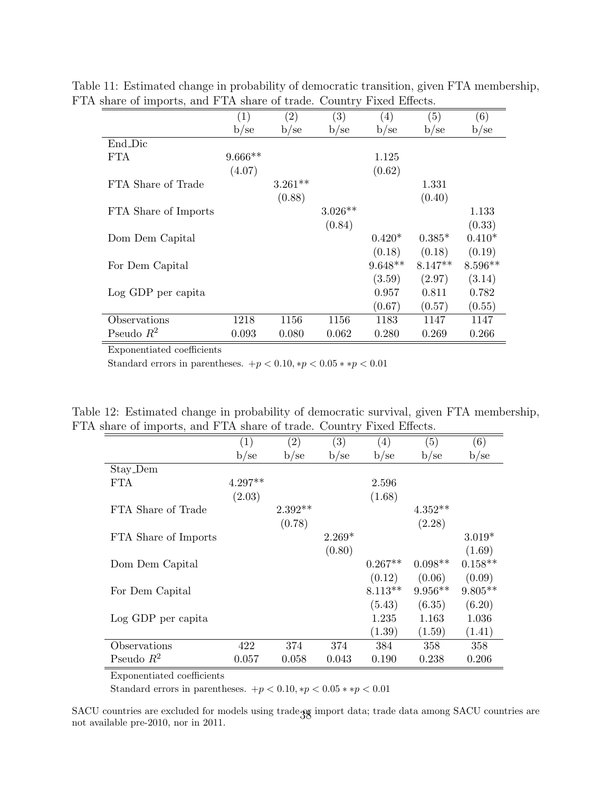<span id="page-38-0"></span>

|                      | (1)       | $\left( 2\right)$ | (3)       | $\left( 4\right)$ | $\left(5\right)$ | (6)       |
|----------------------|-----------|-------------------|-----------|-------------------|------------------|-----------|
|                      | b/se      | b/se              | b/se      | b/se              | b/se             | b/sec     |
| End_Dic              |           |                   |           |                   |                  |           |
| FTA.                 | $9.666**$ |                   |           | 1.125             |                  |           |
|                      | (4.07)    |                   |           | (0.62)            |                  |           |
| FTA Share of Trade   |           | $3.261**$         |           |                   | 1.331            |           |
|                      |           | (0.88)            |           |                   | (0.40)           |           |
| FTA Share of Imports |           |                   | $3.026**$ |                   |                  | 1.133     |
|                      |           |                   | (0.84)    |                   |                  | (0.33)    |
| Dom Dem Capital      |           |                   |           | $0.420*$          | $0.385*$         | $0.410*$  |
|                      |           |                   |           | (0.18)            | (0.18)           | (0.19)    |
| For Dem Capital      |           |                   |           | $9.648**$         | $8.147**$        | $8.596**$ |
|                      |           |                   |           | (3.59)            | (2.97)           | (3.14)    |
| Log GDP per capita   |           |                   |           | 0.957             | 0.811            | 0.782     |
|                      |           |                   |           | (0.67)            | (0.57)           | (0.55)    |
| Observations         | 1218      | 1156              | 1156      | 1183              | 1147             | 1147      |
| Pseudo $R^2$         | 0.093     | 0.080             | 0.062     | 0.280             | 0.269            | 0.266     |

Table 11: Estimated change in probability of democratic transition, given FTA membership, FTA share of imports, and FTA share of trade. Country Fixed Effects.

Standard errors in parentheses.  $+p < 0.10, *p < 0.05 * *p < 0.01$ 

Table 12: Estimated change in probability of democratic survival, given FTA membership, FTA share of imports, and FTA share of trade. Country Fixed Effects.

<span id="page-38-1"></span>

| Τ.                   |           |                   | ◡        |                   |           |           |
|----------------------|-----------|-------------------|----------|-------------------|-----------|-----------|
|                      | (1)       | $\left( 2\right)$ | (3)      | $\left( 4\right)$ | (5)       | (6)       |
|                      | b/se      | b/se              | b/se     | b/se              | $b$ /se   | $b$ /se   |
| Stay_Dem             |           |                   |          |                   |           |           |
| <b>FTA</b>           | $4.297**$ |                   |          | 2.596             |           |           |
|                      | (2.03)    |                   |          | (1.68)            |           |           |
| FTA Share of Trade   |           | $2.392**$         |          |                   | $4.352**$ |           |
|                      |           | (0.78)            |          |                   | (2.28)    |           |
| FTA Share of Imports |           |                   | $2.269*$ |                   |           | $3.019*$  |
|                      |           |                   | (0.80)   |                   |           | (1.69)    |
| Dom Dem Capital      |           |                   |          | $0.267**$         | $0.098**$ | $0.158**$ |
|                      |           |                   |          | (0.12)            | (0.06)    | (0.09)    |
| For Dem Capital      |           |                   |          | $8.113**$         | $9.956**$ | $9.805**$ |
|                      |           |                   |          | (5.43)            | (6.35)    | (6.20)    |
| Log GDP per capita   |           |                   |          | 1.235             | 1.163     | 1.036     |
|                      |           |                   |          | (1.39)            | (1.59)    | (1.41)    |
| Observations         | 422       | 374               | 374      | 384               | 358       | 358       |
| Pseudo $R^2$         | 0.057     | 0.058             | 0.043    | 0.190             | 0.238     | 0.206     |
|                      |           |                   |          |                   |           |           |

Exponentiated coefficients

Standard errors in parentheses.  $+p < 0.10, *p < 0.05 * *p < 0.01$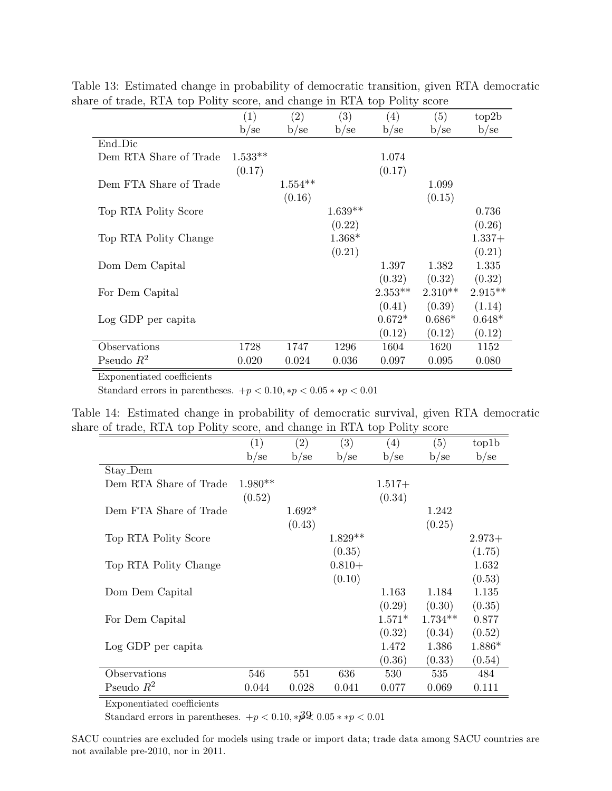<span id="page-39-0"></span>

|                        | (1)       | $\left( 2\right)$ | (3)       | $\left( 4\right)$ | (5)       | top2b     |
|------------------------|-----------|-------------------|-----------|-------------------|-----------|-----------|
|                        | b/sec     | b/se              | b/se      | b/sec             | b/sec     | b/sec     |
| End_Dic                |           |                   |           |                   |           |           |
| Dem RTA Share of Trade | $1.533**$ |                   |           | 1.074             |           |           |
|                        | (0.17)    |                   |           | (0.17)            |           |           |
| Dem FTA Share of Trade |           | $1.554**$         |           |                   | 1.099     |           |
|                        |           | (0.16)            |           |                   | (0.15)    |           |
| Top RTA Polity Score   |           |                   | $1.639**$ |                   |           | 0.736     |
|                        |           |                   | (0.22)    |                   |           | (0.26)    |
| Top RTA Polity Change  |           |                   | $1.368*$  |                   |           | $1.337+$  |
|                        |           |                   | (0.21)    |                   |           | (0.21)    |
| Dom Dem Capital        |           |                   |           | 1.397             | 1.382     | 1.335     |
|                        |           |                   |           | (0.32)            | (0.32)    | (0.32)    |
| For Dem Capital        |           |                   |           | $2.353**$         | $2.310**$ | $2.915**$ |
|                        |           |                   |           | (0.41)            | (0.39)    | (1.14)    |
| Log GDP per capita     |           |                   |           | $0.672*$          | $0.686*$  | $0.648*$  |
|                        |           |                   |           | (0.12)            | (0.12)    | (0.12)    |
| Observations           | 1728      | 1747              | 1296      | 1604              | 1620      | 1152      |
| Pseudo $R^2$           | 0.020     | 0.024             | 0.036     | 0.097             | 0.095     | 0.080     |

Table 13: Estimated change in probability of democratic transition, given RTA democratic share of trade, RTA top Polity score, and change in RTA top Polity score

<span id="page-39-1"></span>Standard errors in parentheses.  $+p < 0.10, \times p < 0.05 \times \times p < 0.01$ 

|  |  |                                                                          |  |  | Table 14: Estimated change in probability of democratic survival, given RTA democratic |
|--|--|--------------------------------------------------------------------------|--|--|----------------------------------------------------------------------------------------|
|  |  | share of trade, RTA top Polity score, and change in RTA top Polity score |  |  |                                                                                        |

|                        | $\left( 1\right)$ | $\left( 2\right)$ | (3)       | $\left(4\right)$ | (5)       | top1b    |
|------------------------|-------------------|-------------------|-----------|------------------|-----------|----------|
|                        | b/sec             | b/sec             | $b$ /se   | $b$ /se          | b/se      | b/se     |
| Stay_Dem               |                   |                   |           |                  |           |          |
| Dem RTA Share of Trade | $1.980**$         |                   |           | $1.517+$         |           |          |
|                        | (0.52)            |                   |           | (0.34)           |           |          |
| Dem FTA Share of Trade |                   | $1.692*$          |           |                  | 1.242     |          |
|                        |                   | (0.43)            |           |                  | (0.25)    |          |
| Top RTA Polity Score   |                   |                   | $1.829**$ |                  |           | $2.973+$ |
|                        |                   |                   | (0.35)    |                  |           | (1.75)   |
| Top RTA Polity Change  |                   |                   | $0.810+$  |                  |           | 1.632    |
|                        |                   |                   | (0.10)    |                  |           | (0.53)   |
| Dom Dem Capital        |                   |                   |           | 1.163            | 1.184     | 1.135    |
|                        |                   |                   |           | (0.29)           | (0.30)    | (0.35)   |
| For Dem Capital        |                   |                   |           | $1.571*$         | $1.734**$ | 0.877    |
|                        |                   |                   |           | (0.32)           | (0.34)    | (0.52)   |
| Log GDP per capita     |                   |                   |           | 1.472            | 1.386     | $1.886*$ |
|                        |                   |                   |           | (0.36)           | (0.33)    | (0.54)   |
| Observations           | 546               | 551               | 636       | 530              | 535       | 484      |
| Pseudo $R^2$           | 0.044             | 0.028             | 0.041     | 0.077            | 0.069     | 0.111    |

Exponentiated coefficients

Standard errors in parentheses.  $+p < 0.10, *p\ll 0.05 * *p < 0.01$